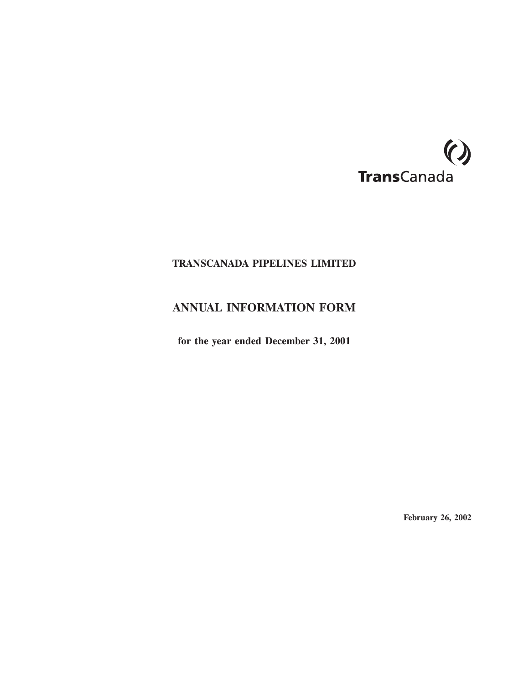

# **TRANSCANADA PIPELINES LIMITED**

# **ANNUAL INFORMATION FORM**

**for the year ended December 31, 2001**

**February 26, 2002**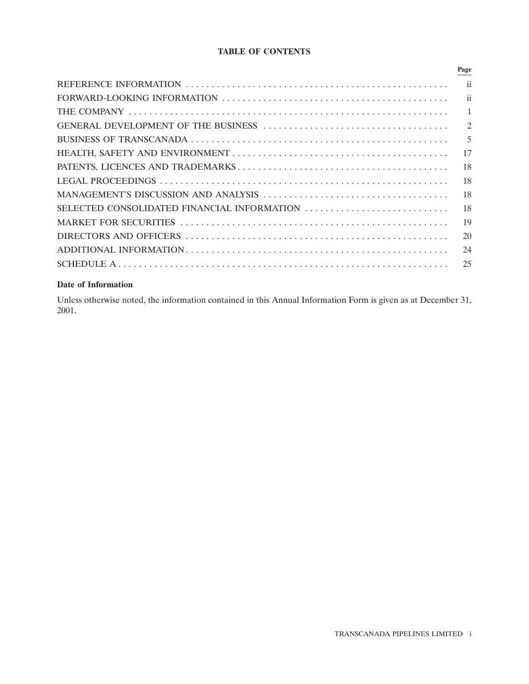# **TABLE OF CONTENTS**

|                                             | Page                     |
|---------------------------------------------|--------------------------|
|                                             | $\overline{\mathbf{ii}}$ |
|                                             | $\overline{\mathbf{u}}$  |
|                                             | $\mathbf{1}$             |
|                                             | 2                        |
|                                             | $\overline{5}$           |
|                                             | 17                       |
|                                             | 18                       |
|                                             | 18                       |
|                                             | 18                       |
| SELECTED CONSOLIDATED FINANCIAL INFORMATION | 18                       |
|                                             | 19                       |
|                                             | 20                       |
|                                             | 24                       |
|                                             | 25                       |
|                                             |                          |

# **Date of Information**

Unless otherwise noted, the information contained in this Annual Information Form is given as at December 31, 2001.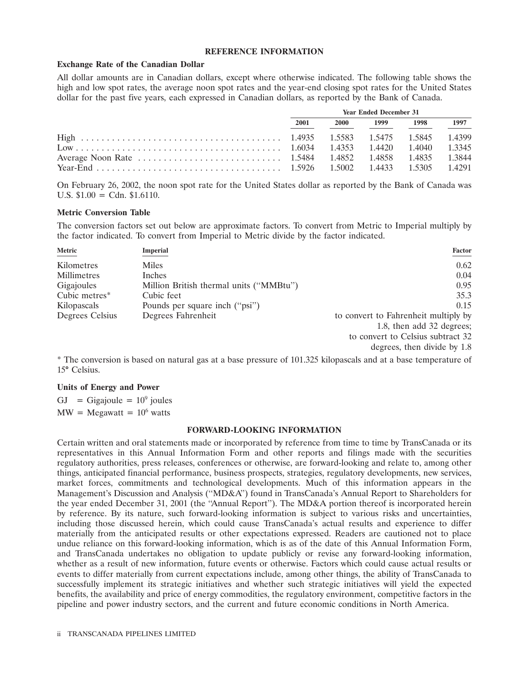#### **REFERENCE INFORMATION**

#### **Exchange Rate of the Canadian Dollar**

All dollar amounts are in Canadian dollars, except where otherwise indicated. The following table shows the high and low spot rates, the average noon spot rates and the year-end closing spot rates for the United States dollar for the past five years, each expressed in Canadian dollars, as reported by the Bank of Canada.

| <b>Year Ended December 31</b> |             |      |      |      |
|-------------------------------|-------------|------|------|------|
| 2001                          | <b>2000</b> | 1999 | 1998 | 1997 |
|                               |             |      |      |      |
|                               |             |      |      |      |
|                               |             |      |      |      |
|                               |             |      |      |      |

On February 26, 2002, the noon spot rate for the United States dollar as reported by the Bank of Canada was U.S.  $$1.00 = \text{Cdn}$ .  $$1.6110$ .

#### **Metric Conversion Table**

The conversion factors set out below are approximate factors. To convert from Metric to Imperial multiply by the factor indicated. To convert from Imperial to Metric divide by the factor indicated.

| Metric          | Imperial                                | <b>Factor</b>                        |
|-----------------|-----------------------------------------|--------------------------------------|
| Kilometres      | <b>Miles</b>                            | 0.62                                 |
| Millimetres     | Inches                                  | 0.04                                 |
| Gigajoules      | Million British thermal units ("MMBtu") | 0.95                                 |
| Cubic metres*   | Cubic feet                              | 35.3                                 |
| Kilopascals     | Pounds per square inch ("psi")          | 0.15                                 |
| Degrees Celsius | Degrees Fahrenheit                      | to convert to Fahrenheit multiply by |
|                 |                                         | 1.8, then add 32 degrees;            |
|                 |                                         | to convert to Celsius subtract 32    |
|                 |                                         | degrees, then divide by 1.8          |

\* The conversion is based on natural gas at a base pressure of 101.325 kilopascals and at a base temperature of 15° Celsius.

#### **Units of Energy and Power**

GJ = Gigajoule =  $10^9$  joules  $MW = Megawatt = 10<sup>6</sup> watts$ 

#### **FORWARD-LOOKING INFORMATION**

Certain written and oral statements made or incorporated by reference from time to time by TransCanada or its representatives in this Annual Information Form and other reports and filings made with the securities regulatory authorities, press releases, conferences or otherwise, are forward-looking and relate to, among other things, anticipated financial performance, business prospects, strategies, regulatory developments, new services, market forces, commitments and technological developments. Much of this information appears in the Management's Discussion and Analysis (''MD&A'') found in TransCanada's Annual Report to Shareholders for the year ended December 31, 2001 (the ''Annual Report''). The MD&A portion thereof is incorporated herein by reference. By its nature, such forward-looking information is subject to various risks and uncertainties, including those discussed herein, which could cause TransCanada's actual results and experience to differ materially from the anticipated results or other expectations expressed. Readers are cautioned not to place undue reliance on this forward-looking information, which is as of the date of this Annual Information Form, and TransCanada undertakes no obligation to update publicly or revise any forward-looking information, whether as a result of new information, future events or otherwise. Factors which could cause actual results or events to differ materially from current expectations include, among other things, the ability of TransCanada to successfully implement its strategic initiatives and whether such strategic initiatives will yield the expected benefits, the availability and price of energy commodities, the regulatory environment, competitive factors in the pipeline and power industry sectors, and the current and future economic conditions in North America.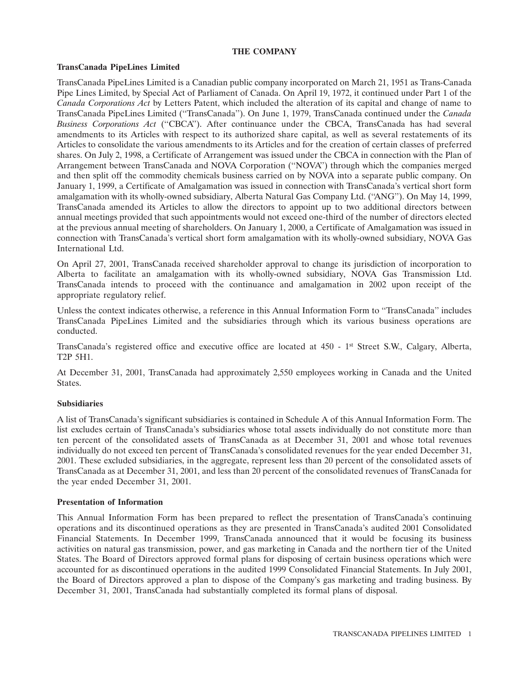# **THE COMPANY**

#### **TransCanada PipeLines Limited**

TransCanada PipeLines Limited is a Canadian public company incorporated on March 21, 1951 as Trans-Canada Pipe Lines Limited, by Special Act of Parliament of Canada. On April 19, 1972, it continued under Part 1 of the *Canada Corporations Act* by Letters Patent, which included the alteration of its capital and change of name to TransCanada PipeLines Limited (''TransCanada''). On June 1, 1979, TransCanada continued under the *Canada Business Corporations Act* (''CBCA''). After continuance under the CBCA, TransCanada has had several amendments to its Articles with respect to its authorized share capital, as well as several restatements of its Articles to consolidate the various amendments to its Articles and for the creation of certain classes of preferred shares. On July 2, 1998, a Certificate of Arrangement was issued under the CBCA in connection with the Plan of Arrangement between TransCanada and NOVA Corporation (''NOVA'') through which the companies merged and then split off the commodity chemicals business carried on by NOVA into a separate public company. On January 1, 1999, a Certificate of Amalgamation was issued in connection with TransCanada's vertical short form amalgamation with its wholly-owned subsidiary, Alberta Natural Gas Company Ltd. (''ANG''). On May 14, 1999, TransCanada amended its Articles to allow the directors to appoint up to two additional directors between annual meetings provided that such appointments would not exceed one-third of the number of directors elected at the previous annual meeting of shareholders. On January 1, 2000, a Certificate of Amalgamation was issued in connection with TransCanada's vertical short form amalgamation with its wholly-owned subsidiary, NOVA Gas International Ltd.

On April 27, 2001, TransCanada received shareholder approval to change its jurisdiction of incorporation to Alberta to facilitate an amalgamation with its wholly-owned subsidiary, NOVA Gas Transmission Ltd. TransCanada intends to proceed with the continuance and amalgamation in 2002 upon receipt of the appropriate regulatory relief.

Unless the context indicates otherwise, a reference in this Annual Information Form to ''TransCanada'' includes TransCanada PipeLines Limited and the subsidiaries through which its various business operations are conducted.

TransCanada's registered office and executive office are located at 450 - 1st Street S.W., Calgary, Alberta, T2P 5H1.

At December 31, 2001, TransCanada had approximately 2,550 employees working in Canada and the United States.

# **Subsidiaries**

A list of TransCanada's significant subsidiaries is contained in Schedule A of this Annual Information Form. The list excludes certain of TransCanada's subsidiaries whose total assets individually do not constitute more than ten percent of the consolidated assets of TransCanada as at December 31, 2001 and whose total revenues individually do not exceed ten percent of TransCanada's consolidated revenues for the year ended December 31, 2001. These excluded subsidiaries, in the aggregate, represent less than 20 percent of the consolidated assets of TransCanada as at December 31, 2001, and less than 20 percent of the consolidated revenues of TransCanada for the year ended December 31, 2001.

#### **Presentation of Information**

This Annual Information Form has been prepared to reflect the presentation of TransCanada's continuing operations and its discontinued operations as they are presented in TransCanada's audited 2001 Consolidated Financial Statements. In December 1999, TransCanada announced that it would be focusing its business activities on natural gas transmission, power, and gas marketing in Canada and the northern tier of the United States. The Board of Directors approved formal plans for disposing of certain business operations which were accounted for as discontinued operations in the audited 1999 Consolidated Financial Statements. In July 2001, the Board of Directors approved a plan to dispose of the Company's gas marketing and trading business. By December 31, 2001, TransCanada had substantially completed its formal plans of disposal.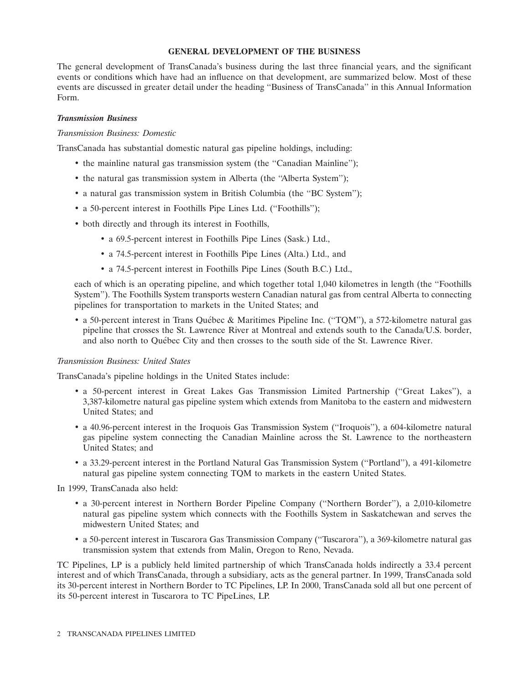#### **GENERAL DEVELOPMENT OF THE BUSINESS**

The general development of TransCanada's business during the last three financial years, and the significant events or conditions which have had an influence on that development, are summarized below. Most of these events are discussed in greater detail under the heading ''Business of TransCanada'' in this Annual Information Form.

#### *Transmission Business*

#### *Transmission Business: Domestic*

TransCanada has substantial domestic natural gas pipeline holdings, including:

- the mainline natural gas transmission system (the "Canadian Mainline");
- the natural gas transmission system in Alberta (the "Alberta System");
- a natural gas transmission system in British Columbia (the "BC System");
- a 50-percent interest in Foothills Pipe Lines Ltd. (''Foothills'');
- both directly and through its interest in Foothills,
	- a 69.5-percent interest in Foothills Pipe Lines (Sask.) Ltd.,
	- a 74.5-percent interest in Foothills Pipe Lines (Alta.) Ltd., and
	- a 74.5-percent interest in Foothills Pipe Lines (South B.C.) Ltd.,

each of which is an operating pipeline, and which together total 1,040 kilometres in length (the ''Foothills System''). The Foothills System transports western Canadian natural gas from central Alberta to connecting pipelines for transportation to markets in the United States; and

• a 50-percent interest in Trans Québec & Maritimes Pipeline Inc. ("TQM"), a 572-kilometre natural gas pipeline that crosses the St. Lawrence River at Montreal and extends south to the Canada/U.S. border, and also north to Québec City and then crosses to the south side of the St. Lawrence River.

# *Transmission Business: United States*

TransCanada's pipeline holdings in the United States include:

- a 50-percent interest in Great Lakes Gas Transmission Limited Partnership (''Great Lakes''), a 3,387-kilometre natural gas pipeline system which extends from Manitoba to the eastern and midwestern United States; and
- a 40.96-percent interest in the Iroquois Gas Transmission System (''Iroquois''), a 604-kilometre natural gas pipeline system connecting the Canadian Mainline across the St. Lawrence to the northeastern United States; and
- a 33.29-percent interest in the Portland Natural Gas Transmission System (''Portland''), a 491-kilometre natural gas pipeline system connecting TQM to markets in the eastern United States.

In 1999, TransCanada also held:

- a 30-percent interest in Northern Border Pipeline Company (''Northern Border''), a 2,010-kilometre natural gas pipeline system which connects with the Foothills System in Saskatchewan and serves the midwestern United States; and
- a 50-percent interest in Tuscarora Gas Transmission Company (''Tuscarora''), a 369-kilometre natural gas transmission system that extends from Malin, Oregon to Reno, Nevada.

TC Pipelines, LP is a publicly held limited partnership of which TransCanada holds indirectly a 33.4 percent interest and of which TransCanada, through a subsidiary, acts as the general partner. In 1999, TransCanada sold its 30-percent interest in Northern Border to TC Pipelines, LP. In 2000, TransCanada sold all but one percent of its 50-percent interest in Tuscarora to TC PipeLines, LP.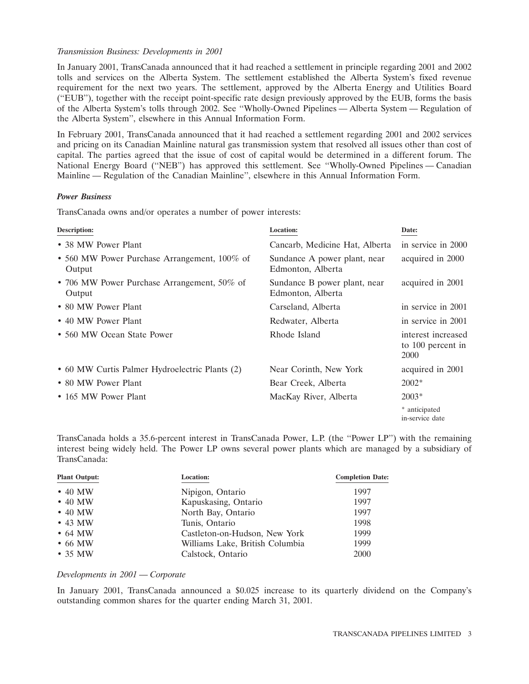#### *Transmission Business: Developments in 2001*

In January 2001, TransCanada announced that it had reached a settlement in principle regarding 2001 and 2002 tolls and services on the Alberta System. The settlement established the Alberta System's fixed revenue requirement for the next two years. The settlement, approved by the Alberta Energy and Utilities Board (''EUB''), together with the receipt point-specific rate design previously approved by the EUB, forms the basis of the Alberta System's tolls through 2002. See ''Wholly-Owned Pipelines — Alberta System — Regulation of the Alberta System'', elsewhere in this Annual Information Form.

In February 2001, TransCanada announced that it had reached a settlement regarding 2001 and 2002 services and pricing on its Canadian Mainline natural gas transmission system that resolved all issues other than cost of capital. The parties agreed that the issue of cost of capital would be determined in a different forum. The National Energy Board (''NEB'') has approved this settlement. See ''Wholly-Owned Pipelines — Canadian Mainline — Regulation of the Canadian Mainline'', elsewhere in this Annual Information Form.

#### *Power Business*

TransCanada owns and/or operates a number of power interests:

| <b>Description:</b>                                    | <b>Location:</b>                                  | Date:                                           |
|--------------------------------------------------------|---------------------------------------------------|-------------------------------------------------|
| • 38 MW Power Plant                                    | Cancarb, Medicine Hat, Alberta                    | in service in 2000                              |
| • 560 MW Power Purchase Arrangement, 100% of<br>Output | Sundance A power plant, near<br>Edmonton, Alberta | acquired in 2000                                |
| • 706 MW Power Purchase Arrangement, 50% of<br>Output  | Sundance B power plant, near<br>Edmonton, Alberta | acquired in 2001                                |
| • 80 MW Power Plant                                    | Carseland, Alberta                                | in service in 2001                              |
| • 40 MW Power Plant                                    | Redwater, Alberta                                 | in service in 2001                              |
| • 560 MW Ocean State Power                             | Rhode Island                                      | interest increased<br>to 100 percent in<br>2000 |
| • 60 MW Curtis Palmer Hydroelectric Plants (2)         | Near Corinth, New York                            | acquired in 2001                                |
| • 80 MW Power Plant                                    | Bear Creek, Alberta                               | $2002*$                                         |
| • 165 MW Power Plant                                   | MacKay River, Alberta                             | $2003*$                                         |
|                                                        |                                                   | * anticipated<br>in-service date                |

TransCanada holds a 35.6-percent interest in TransCanada Power, L.P. (the ''Power LP'') with the remaining interest being widely held. The Power LP owns several power plants which are managed by a subsidiary of TransCanada:

| <b>Plant Output:</b> | <b>Location:</b>                | <b>Completion Date:</b> |
|----------------------|---------------------------------|-------------------------|
| $\cdot$ 40 MW        | Nipigon, Ontario                | 1997                    |
| $\cdot$ 40 MW        | Kapuskasing, Ontario            | 1997                    |
| $\cdot$ 40 MW        | North Bay, Ontario              | 1997                    |
| $\cdot$ 43 MW        | Tunis, Ontario                  | 1998                    |
| $\bullet$ 64 MW      | Castleton-on-Hudson, New York   | 1999                    |
| $\bullet$ 66 MW      | Williams Lake, British Columbia | 1999                    |
| $\cdot$ 35 MW        | Calstock, Ontario               | 2000                    |

#### *Developments in 2001 — Corporate*

In January 2001, TransCanada announced a \$0.025 increase to its quarterly dividend on the Company's outstanding common shares for the quarter ending March 31, 2001.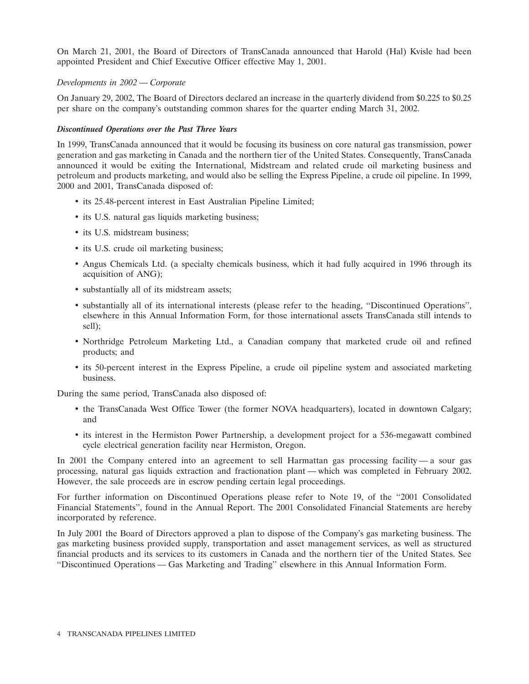On March 21, 2001, the Board of Directors of TransCanada announced that Harold (Hal) Kvisle had been appointed President and Chief Executive Officer effective May 1, 2001.

#### *Developments in 2002 — Corporate*

On January 29, 2002, The Board of Directors declared an increase in the quarterly dividend from \$0.225 to \$0.25 per share on the company's outstanding common shares for the quarter ending March 31, 2002.

#### *Discontinued Operations over the Past Three Years*

In 1999, TransCanada announced that it would be focusing its business on core natural gas transmission, power generation and gas marketing in Canada and the northern tier of the United States. Consequently, TransCanada announced it would be exiting the International, Midstream and related crude oil marketing business and petroleum and products marketing, and would also be selling the Express Pipeline, a crude oil pipeline. In 1999, 2000 and 2001, TransCanada disposed of:

- its 25.48-percent interest in East Australian Pipeline Limited;
- its U.S. natural gas liquids marketing business;
- its U.S. midstream business;
- its U.S. crude oil marketing business:
- Angus Chemicals Ltd. (a specialty chemicals business, which it had fully acquired in 1996 through its acquisition of ANG);
- substantially all of its midstream assets;
- substantially all of its international interests (please refer to the heading, ''Discontinued Operations'', elsewhere in this Annual Information Form, for those international assets TransCanada still intends to sell);
- Northridge Petroleum Marketing Ltd., a Canadian company that marketed crude oil and refined products; and
- its 50-percent interest in the Express Pipeline, a crude oil pipeline system and associated marketing business.

During the same period, TransCanada also disposed of:

- the TransCanada West Office Tower (the former NOVA headquarters), located in downtown Calgary; and
- its interest in the Hermiston Power Partnership, a development project for a 536-megawatt combined cycle electrical generation facility near Hermiston, Oregon.

In 2001 the Company entered into an agreement to sell Harmattan gas processing facility — a sour gas processing, natural gas liquids extraction and fractionation plant — which was completed in February 2002. However, the sale proceeds are in escrow pending certain legal proceedings.

For further information on Discontinued Operations please refer to Note 19, of the ''2001 Consolidated Financial Statements'', found in the Annual Report. The 2001 Consolidated Financial Statements are hereby incorporated by reference.

In July 2001 the Board of Directors approved a plan to dispose of the Company's gas marketing business. The gas marketing business provided supply, transportation and asset management services, as well as structured financial products and its services to its customers in Canada and the northern tier of the United States. See ''Discontinued Operations — Gas Marketing and Trading'' elsewhere in this Annual Information Form.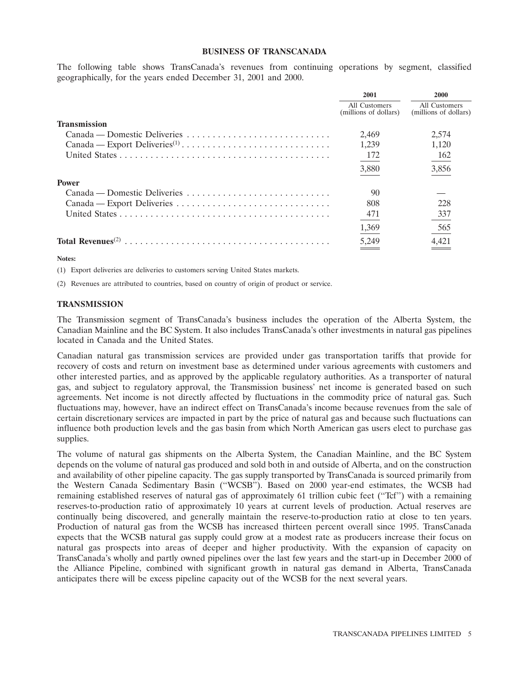#### **BUSINESS OF TRANSCANADA**

The following table shows TransCanada's revenues from continuing operations by segment, classified geographically, for the years ended December 31, 2001 and 2000.

|                                                                                        | 2001                                   | 2000                                   |
|----------------------------------------------------------------------------------------|----------------------------------------|----------------------------------------|
|                                                                                        | All Customers<br>(millions of dollars) | All Customers<br>(millions of dollars) |
| <b>Transmission</b>                                                                    |                                        |                                        |
| $Canada - Domestic \ Deliveries \dots \dots \dots \dots \dots \dots \dots \dots \dots$ | 2.469                                  | 2,574                                  |
|                                                                                        | 1.239                                  | 1,120                                  |
|                                                                                        | 172                                    | 162                                    |
|                                                                                        | 3,880                                  | 3,856                                  |
| <b>Power</b>                                                                           |                                        |                                        |
| Canada — Domestic Deliveries                                                           | 90                                     |                                        |
|                                                                                        | 808                                    | 228                                    |
|                                                                                        | 471                                    | 337                                    |
|                                                                                        | 1,369                                  | 565                                    |
|                                                                                        | 5,249                                  | 4,421                                  |

**Notes:**

(1) Export deliveries are deliveries to customers serving United States markets.

(2) Revenues are attributed to countries, based on country of origin of product or service.

#### **TRANSMISSION**

The Transmission segment of TransCanada's business includes the operation of the Alberta System, the Canadian Mainline and the BC System. It also includes TransCanada's other investments in natural gas pipelines located in Canada and the United States.

Canadian natural gas transmission services are provided under gas transportation tariffs that provide for recovery of costs and return on investment base as determined under various agreements with customers and other interested parties, and as approved by the applicable regulatory authorities. As a transporter of natural gas, and subject to regulatory approval, the Transmission business' net income is generated based on such agreements. Net income is not directly affected by fluctuations in the commodity price of natural gas. Such fluctuations may, however, have an indirect effect on TransCanada's income because revenues from the sale of certain discretionary services are impacted in part by the price of natural gas and because such fluctuations can influence both production levels and the gas basin from which North American gas users elect to purchase gas supplies.

The volume of natural gas shipments on the Alberta System, the Canadian Mainline, and the BC System depends on the volume of natural gas produced and sold both in and outside of Alberta, and on the construction and availability of other pipeline capacity. The gas supply transported by TransCanada is sourced primarily from the Western Canada Sedimentary Basin (''WCSB''). Based on 2000 year-end estimates, the WCSB had remaining established reserves of natural gas of approximately 61 trillion cubic feet (''Tcf'') with a remaining reserves-to-production ratio of approximately 10 years at current levels of production. Actual reserves are continually being discovered, and generally maintain the reserve-to-production ratio at close to ten years. Production of natural gas from the WCSB has increased thirteen percent overall since 1995. TransCanada expects that the WCSB natural gas supply could grow at a modest rate as producers increase their focus on natural gas prospects into areas of deeper and higher productivity. With the expansion of capacity on TransCanada's wholly and partly owned pipelines over the last few years and the start-up in December 2000 of the Alliance Pipeline, combined with significant growth in natural gas demand in Alberta, TransCanada anticipates there will be excess pipeline capacity out of the WCSB for the next several years.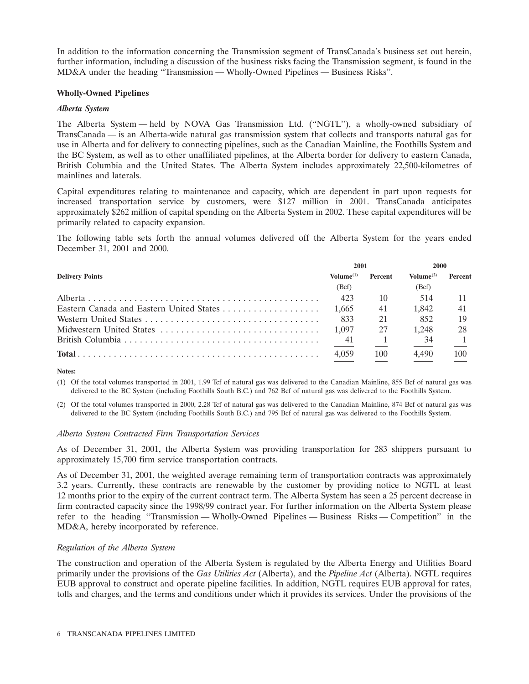In addition to the information concerning the Transmission segment of TransCanada's business set out herein, further information, including a discussion of the business risks facing the Transmission segment, is found in the MD&A under the heading ''Transmission — Wholly-Owned Pipelines — Business Risks''.

#### **Wholly-Owned Pipelines**

#### *Alberta System*

The Alberta System — held by NOVA Gas Transmission Ltd. (''NGTL''), a wholly-owned subsidiary of TransCanada — is an Alberta-wide natural gas transmission system that collects and transports natural gas for use in Alberta and for delivery to connecting pipelines, such as the Canadian Mainline, the Foothills System and the BC System, as well as to other unaffiliated pipelines, at the Alberta border for delivery to eastern Canada, British Columbia and the United States. The Alberta System includes approximately 22,500-kilometres of mainlines and laterals.

Capital expenditures relating to maintenance and capacity, which are dependent in part upon requests for increased transportation service by customers, were \$127 million in 2001. TransCanada anticipates approximately \$262 million of capital spending on the Alberta System in 2002. These capital expenditures will be primarily related to capacity expansion.

The following table sets forth the annual volumes delivered off the Alberta System for the years ended December 31, 2001 and 2000.

|                                          |                       | 2001           |                       | 2000    |  |
|------------------------------------------|-----------------------|----------------|-----------------------|---------|--|
| <b>Delivery Points</b>                   | Volume <sup>(1)</sup> | <b>Percent</b> | Volume <sup>(2)</sup> | Percent |  |
|                                          | (Bcf)                 |                | (Bcf)                 |         |  |
|                                          | 423                   | 10             | 514                   |         |  |
| Eastern Canada and Eastern United States | 1.665                 | 41             | 1.842                 | 41      |  |
|                                          | 833                   | 21             | 852                   |         |  |
| Midwestern United States                 | 1.097                 | 27             | 1.248                 |         |  |
|                                          | 41                    |                | 34                    |         |  |
|                                          | 4,059                 | 100            | 4,490                 | 100     |  |

**Notes:**

(1) Of the total volumes transported in 2001, 1.99 Tcf of natural gas was delivered to the Canadian Mainline, 855 Bcf of natural gas was delivered to the BC System (including Foothills South B.C.) and 762 Bcf of natural gas was delivered to the Foothills System.

(2) Of the total volumes transported in 2000, 2.28 Tcf of natural gas was delivered to the Canadian Mainline, 874 Bcf of natural gas was delivered to the BC System (including Foothills South B.C.) and 795 Bcf of natural gas was delivered to the Foothills System.

#### *Alberta System Contracted Firm Transportation Services*

As of December 31, 2001, the Alberta System was providing transportation for 283 shippers pursuant to approximately 15,700 firm service transportation contracts.

As of December 31, 2001, the weighted average remaining term of transportation contracts was approximately 3.2 years. Currently, these contracts are renewable by the customer by providing notice to NGTL at least 12 months prior to the expiry of the current contract term. The Alberta System has seen a 25 percent decrease in firm contracted capacity since the 1998/99 contract year. For further information on the Alberta System please refer to the heading ''Transmission — Wholly-Owned Pipelines — Business Risks — Competition'' in the MD&A, hereby incorporated by reference.

# *Regulation of the Alberta System*

The construction and operation of the Alberta System is regulated by the Alberta Energy and Utilities Board primarily under the provisions of the *Gas Utilities Act* (Alberta), and the *Pipeline Act* (Alberta). NGTL requires EUB approval to construct and operate pipeline facilities. In addition, NGTL requires EUB approval for rates, tolls and charges, and the terms and conditions under which it provides its services. Under the provisions of the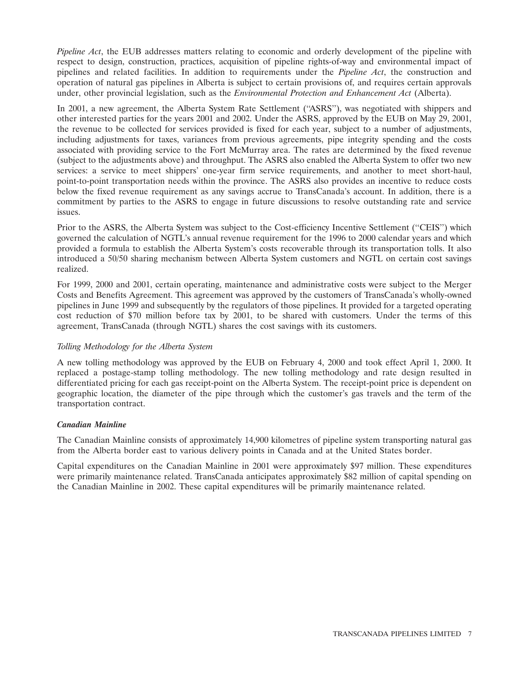*Pipeline Act*, the EUB addresses matters relating to economic and orderly development of the pipeline with respect to design, construction, practices, acquisition of pipeline rights-of-way and environmental impact of pipelines and related facilities. In addition to requirements under the *Pipeline Act*, the construction and operation of natural gas pipelines in Alberta is subject to certain provisions of, and requires certain approvals under, other provincial legislation, such as the *Environmental Protection and Enhancement Act* (Alberta).

In 2001, a new agreement, the Alberta System Rate Settlement (''ASRS''), was negotiated with shippers and other interested parties for the years 2001 and 2002. Under the ASRS, approved by the EUB on May 29, 2001, the revenue to be collected for services provided is fixed for each year, subject to a number of adjustments, including adjustments for taxes, variances from previous agreements, pipe integrity spending and the costs associated with providing service to the Fort McMurray area. The rates are determined by the fixed revenue (subject to the adjustments above) and throughput. The ASRS also enabled the Alberta System to offer two new services: a service to meet shippers' one-year firm service requirements, and another to meet short-haul, point-to-point transportation needs within the province. The ASRS also provides an incentive to reduce costs below the fixed revenue requirement as any savings accrue to TransCanada's account. In addition, there is a commitment by parties to the ASRS to engage in future discussions to resolve outstanding rate and service issues.

Prior to the ASRS, the Alberta System was subject to the Cost-efficiency Incentive Settlement (''CEIS'') which governed the calculation of NGTL's annual revenue requirement for the 1996 to 2000 calendar years and which provided a formula to establish the Alberta System's costs recoverable through its transportation tolls. It also introduced a 50/50 sharing mechanism between Alberta System customers and NGTL on certain cost savings realized.

For 1999, 2000 and 2001, certain operating, maintenance and administrative costs were subject to the Merger Costs and Benefits Agreement. This agreement was approved by the customers of TransCanada's wholly-owned pipelines in June 1999 and subsequently by the regulators of those pipelines. It provided for a targeted operating cost reduction of \$70 million before tax by 2001, to be shared with customers. Under the terms of this agreement, TransCanada (through NGTL) shares the cost savings with its customers.

# *Tolling Methodology for the Alberta System*

A new tolling methodology was approved by the EUB on February 4, 2000 and took effect April 1, 2000. It replaced a postage-stamp tolling methodology. The new tolling methodology and rate design resulted in differentiated pricing for each gas receipt-point on the Alberta System. The receipt-point price is dependent on geographic location, the diameter of the pipe through which the customer's gas travels and the term of the transportation contract.

# *Canadian Mainline*

The Canadian Mainline consists of approximately 14,900 kilometres of pipeline system transporting natural gas from the Alberta border east to various delivery points in Canada and at the United States border.

Capital expenditures on the Canadian Mainline in 2001 were approximately \$97 million. These expenditures were primarily maintenance related. TransCanada anticipates approximately \$82 million of capital spending on the Canadian Mainline in 2002. These capital expenditures will be primarily maintenance related.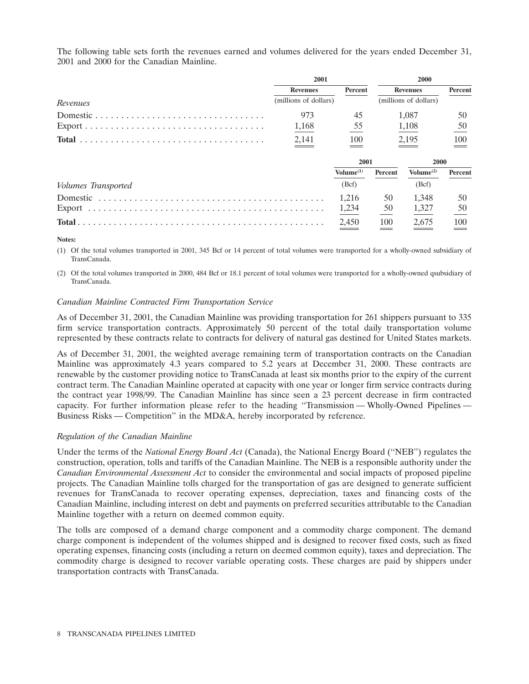The following table sets forth the revenues earned and volumes delivered for the years ended December 31, 2001 and 2000 for the Canadian Mainline.

|                                                                                         | 2001                  |                       | 2000    |                       |         |
|-----------------------------------------------------------------------------------------|-----------------------|-----------------------|---------|-----------------------|---------|
|                                                                                         | <b>Revenues</b>       | Percent               |         | <b>Revenues</b>       | Percent |
| Revenues                                                                                | (millions of dollars) |                       |         | (millions of dollars) |         |
|                                                                                         | 973                   | 45                    |         | 1.087                 | 50      |
| $\text{Export} \dots \dots \dots \dots \dots \dots \dots \dots \dots \dots \dots \dots$ | 1,168                 | $\frac{55}{1}$        |         | 1,108                 | 50      |
|                                                                                         | 2,141                 | 100                   |         | 2,195                 | 100     |
|                                                                                         |                       | 2001                  |         | 2000                  |         |
|                                                                                         |                       | Volume <sup>(1)</sup> | Percent | Volume $^{(2)}$       | Percent |
| Volumes Transported                                                                     |                       | (Bcf)                 |         | (Bcf)                 |         |
|                                                                                         |                       | 1.216                 | 50      | 1,348                 | 50      |
|                                                                                         |                       | 1,234                 | 50      | 1,327                 | 50      |
|                                                                                         |                       | $\frac{2,450}{2}$     | 100     | $\frac{2,675}{2}$     | 100     |

#### **Notes:**

(1) Of the total volumes transported in 2001, 345 Bcf or 14 percent of total volumes were transported for a wholly-owned subsidiary of TransCanada.

(2) Of the total volumes transported in 2000, 484 Bcf or 18.1 percent of total volumes were transported for a wholly-owned qsubsidiary of TransCanada.

#### *Canadian Mainline Contracted Firm Transportation Service*

As of December 31, 2001, the Canadian Mainline was providing transportation for 261 shippers pursuant to 335 firm service transportation contracts. Approximately 50 percent of the total daily transportation volume represented by these contracts relate to contracts for delivery of natural gas destined for United States markets.

As of December 31, 2001, the weighted average remaining term of transportation contracts on the Canadian Mainline was approximately 4.3 years compared to 5.2 years at December 31, 2000. These contracts are renewable by the customer providing notice to TransCanada at least six months prior to the expiry of the current contract term. The Canadian Mainline operated at capacity with one year or longer firm service contracts during the contract year 1998/99. The Canadian Mainline has since seen a 23 percent decrease in firm contracted capacity. For further information please refer to the heading ''Transmission — Wholly-Owned Pipelines — Business Risks — Competition'' in the MD&A, hereby incorporated by reference.

# *Regulation of the Canadian Mainline*

Under the terms of the *National Energy Board Act* (Canada), the National Energy Board (''NEB'') regulates the construction, operation, tolls and tariffs of the Canadian Mainline. The NEB is a responsible authority under the *Canadian Environmental Assessment Act* to consider the environmental and social impacts of proposed pipeline projects. The Canadian Mainline tolls charged for the transportation of gas are designed to generate sufficient revenues for TransCanada to recover operating expenses, depreciation, taxes and financing costs of the Canadian Mainline, including interest on debt and payments on preferred securities attributable to the Canadian Mainline together with a return on deemed common equity.

The tolls are composed of a demand charge component and a commodity charge component. The demand charge component is independent of the volumes shipped and is designed to recover fixed costs, such as fixed operating expenses, financing costs (including a return on deemed common equity), taxes and depreciation. The commodity charge is designed to recover variable operating costs. These charges are paid by shippers under transportation contracts with TransCanada.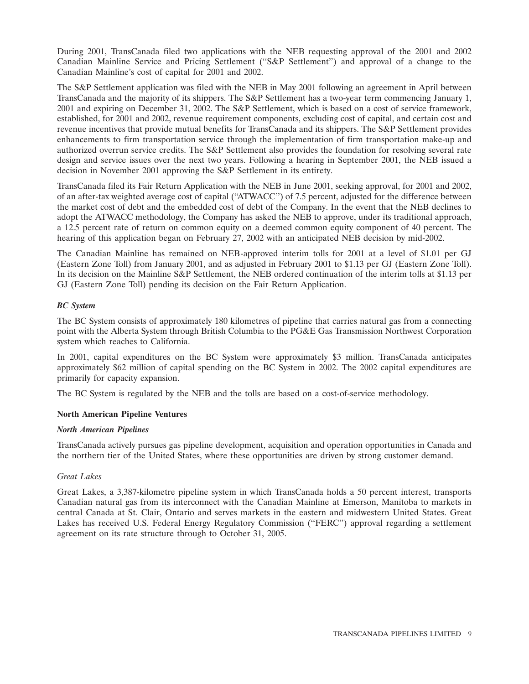During 2001, TransCanada filed two applications with the NEB requesting approval of the 2001 and 2002 Canadian Mainline Service and Pricing Settlement (''S&P Settlement'') and approval of a change to the Canadian Mainline's cost of capital for 2001 and 2002.

The S&P Settlement application was filed with the NEB in May 2001 following an agreement in April between TransCanada and the majority of its shippers. The S&P Settlement has a two-year term commencing January 1, 2001 and expiring on December 31, 2002. The S&P Settlement, which is based on a cost of service framework, established, for 2001 and 2002, revenue requirement components, excluding cost of capital, and certain cost and revenue incentives that provide mutual benefits for TransCanada and its shippers. The S&P Settlement provides enhancements to firm transportation service through the implementation of firm transportation make-up and authorized overrun service credits. The S&P Settlement also provides the foundation for resolving several rate design and service issues over the next two years. Following a hearing in September 2001, the NEB issued a decision in November 2001 approving the S&P Settlement in its entirety.

TransCanada filed its Fair Return Application with the NEB in June 2001, seeking approval, for 2001 and 2002, of an after-tax weighted average cost of capital (''ATWACC'') of 7.5 percent, adjusted for the difference between the market cost of debt and the embedded cost of debt of the Company. In the event that the NEB declines to adopt the ATWACC methodology, the Company has asked the NEB to approve, under its traditional approach, a 12.5 percent rate of return on common equity on a deemed common equity component of 40 percent. The hearing of this application began on February 27, 2002 with an anticipated NEB decision by mid-2002.

The Canadian Mainline has remained on NEB-approved interim tolls for 2001 at a level of \$1.01 per GJ (Eastern Zone Toll) from January 2001, and as adjusted in February 2001 to \$1.13 per GJ (Eastern Zone Toll). In its decision on the Mainline S&P Settlement, the NEB ordered continuation of the interim tolls at \$1.13 per GJ (Eastern Zone Toll) pending its decision on the Fair Return Application.

# *BC System*

The BC System consists of approximately 180 kilometres of pipeline that carries natural gas from a connecting point with the Alberta System through British Columbia to the PG&E Gas Transmission Northwest Corporation system which reaches to California.

In 2001, capital expenditures on the BC System were approximately \$3 million. TransCanada anticipates approximately \$62 million of capital spending on the BC System in 2002. The 2002 capital expenditures are primarily for capacity expansion.

The BC System is regulated by the NEB and the tolls are based on a cost-of-service methodology.

# **North American Pipeline Ventures**

#### *North American Pipelines*

TransCanada actively pursues gas pipeline development, acquisition and operation opportunities in Canada and the northern tier of the United States, where these opportunities are driven by strong customer demand.

# *Great Lakes*

Great Lakes, a 3,387-kilometre pipeline system in which TransCanada holds a 50 percent interest, transports Canadian natural gas from its interconnect with the Canadian Mainline at Emerson, Manitoba to markets in central Canada at St. Clair, Ontario and serves markets in the eastern and midwestern United States. Great Lakes has received U.S. Federal Energy Regulatory Commission (''FERC'') approval regarding a settlement agreement on its rate structure through to October 31, 2005.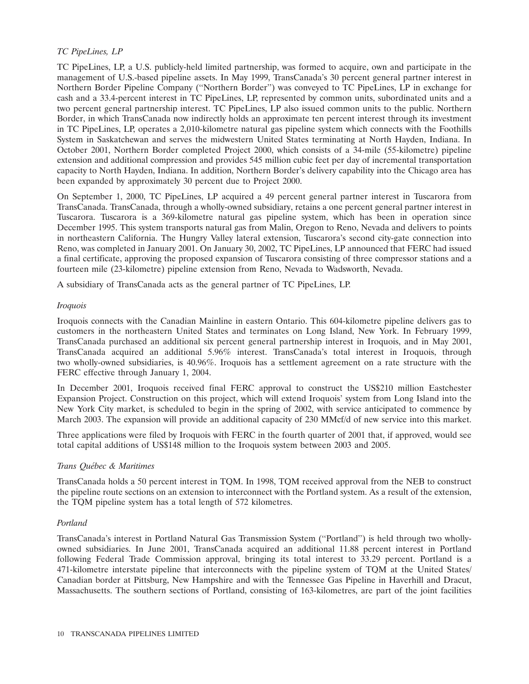# *TC PipeLines, LP*

TC PipeLines, LP, a U.S. publicly-held limited partnership, was formed to acquire, own and participate in the management of U.S.-based pipeline assets. In May 1999, TransCanada's 30 percent general partner interest in Northern Border Pipeline Company (''Northern Border'') was conveyed to TC PipeLines, LP in exchange for cash and a 33.4-percent interest in TC PipeLines, LP, represented by common units, subordinated units and a two percent general partnership interest. TC PipeLines, LP also issued common units to the public. Northern Border, in which TransCanada now indirectly holds an approximate ten percent interest through its investment in TC PipeLines, LP, operates a 2,010-kilometre natural gas pipeline system which connects with the Foothills System in Saskatchewan and serves the midwestern United States terminating at North Hayden, Indiana. In October 2001, Northern Border completed Project 2000, which consists of a 34-mile (55-kilometre) pipeline extension and additional compression and provides 545 million cubic feet per day of incremental transportation capacity to North Hayden, Indiana. In addition, Northern Border's delivery capability into the Chicago area has been expanded by approximately 30 percent due to Project 2000.

On September 1, 2000, TC PipeLines, LP acquired a 49 percent general partner interest in Tuscarora from TransCanada. TransCanada, through a wholly-owned subsidiary, retains a one percent general partner interest in Tuscarora. Tuscarora is a 369-kilometre natural gas pipeline system, which has been in operation since December 1995. This system transports natural gas from Malin, Oregon to Reno, Nevada and delivers to points in northeastern California. The Hungry Valley lateral extension, Tuscarora's second city-gate connection into Reno, was completed in January 2001. On January 30, 2002, TC PipeLines, LP announced that FERC had issued a final certificate, approving the proposed expansion of Tuscarora consisting of three compressor stations and a fourteen mile (23-kilometre) pipeline extension from Reno, Nevada to Wadsworth, Nevada.

A subsidiary of TransCanada acts as the general partner of TC PipeLines, LP.

#### *Iroquois*

Iroquois connects with the Canadian Mainline in eastern Ontario. This 604-kilometre pipeline delivers gas to customers in the northeastern United States and terminates on Long Island, New York. In February 1999, TransCanada purchased an additional six percent general partnership interest in Iroquois, and in May 2001, TransCanada acquired an additional 5.96% interest. TransCanada's total interest in Iroquois, through two wholly-owned subsidiaries, is 40.96%. Iroquois has a settlement agreement on a rate structure with the FERC effective through January 1, 2004.

In December 2001, Iroquois received final FERC approval to construct the US\$210 million Eastchester Expansion Project. Construction on this project, which will extend Iroquois' system from Long Island into the New York City market, is scheduled to begin in the spring of 2002, with service anticipated to commence by March 2003. The expansion will provide an additional capacity of 230 MMcf/d of new service into this market.

Three applications were filed by Iroquois with FERC in the fourth quarter of 2001 that, if approved, would see total capital additions of US\$148 million to the Iroquois system between 2003 and 2005.

# *Trans Qu´ebec & Maritimes*

TransCanada holds a 50 percent interest in TQM. In 1998, TQM received approval from the NEB to construct the pipeline route sections on an extension to interconnect with the Portland system. As a result of the extension, the TQM pipeline system has a total length of 572 kilometres.

# *Portland*

TransCanada's interest in Portland Natural Gas Transmission System (''Portland'') is held through two whollyowned subsidiaries. In June 2001, TransCanada acquired an additional 11.88 percent interest in Portland following Federal Trade Commission approval, bringing its total interest to 33.29 percent. Portland is a 471-kilometre interstate pipeline that interconnects with the pipeline system of TQM at the United States/ Canadian border at Pittsburg, New Hampshire and with the Tennessee Gas Pipeline in Haverhill and Dracut, Massachusetts. The southern sections of Portland, consisting of 163-kilometres, are part of the joint facilities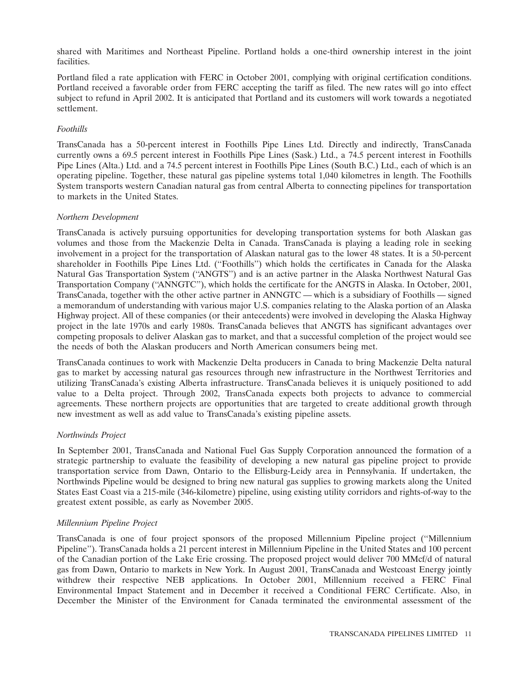shared with Maritimes and Northeast Pipeline. Portland holds a one-third ownership interest in the joint facilities.

Portland filed a rate application with FERC in October 2001, complying with original certification conditions. Portland received a favorable order from FERC accepting the tariff as filed. The new rates will go into effect subject to refund in April 2002. It is anticipated that Portland and its customers will work towards a negotiated settlement.

# *Foothills*

TransCanada has a 50-percent interest in Foothills Pipe Lines Ltd. Directly and indirectly, TransCanada currently owns a 69.5 percent interest in Foothills Pipe Lines (Sask.) Ltd., a 74.5 percent interest in Foothills Pipe Lines (Alta.) Ltd. and a 74.5 percent interest in Foothills Pipe Lines (South B.C.) Ltd., each of which is an operating pipeline. Together, these natural gas pipeline systems total 1,040 kilometres in length. The Foothills System transports western Canadian natural gas from central Alberta to connecting pipelines for transportation to markets in the United States.

# *Northern Development*

TransCanada is actively pursuing opportunities for developing transportation systems for both Alaskan gas volumes and those from the Mackenzie Delta in Canada. TransCanada is playing a leading role in seeking involvement in a project for the transportation of Alaskan natural gas to the lower 48 states. It is a 50-percent shareholder in Foothills Pipe Lines Ltd. (''Foothills'') which holds the certificates in Canada for the Alaska Natural Gas Transportation System (''ANGTS'') and is an active partner in the Alaska Northwest Natural Gas Transportation Company (''ANNGTC''), which holds the certificate for the ANGTS in Alaska. In October, 2001, TransCanada, together with the other active partner in ANNGTC — which is a subsidiary of Foothills — signed a memorandum of understanding with various major U.S. companies relating to the Alaska portion of an Alaska Highway project. All of these companies (or their antecedents) were involved in developing the Alaska Highway project in the late 1970s and early 1980s. TransCanada believes that ANGTS has significant advantages over competing proposals to deliver Alaskan gas to market, and that a successful completion of the project would see the needs of both the Alaskan producers and North American consumers being met.

TransCanada continues to work with Mackenzie Delta producers in Canada to bring Mackenzie Delta natural gas to market by accessing natural gas resources through new infrastructure in the Northwest Territories and utilizing TransCanada's existing Alberta infrastructure. TransCanada believes it is uniquely positioned to add value to a Delta project. Through 2002, TransCanada expects both projects to advance to commercial agreements. These northern projects are opportunities that are targeted to create additional growth through new investment as well as add value to TransCanada's existing pipeline assets.

# *Northwinds Project*

In September 2001, TransCanada and National Fuel Gas Supply Corporation announced the formation of a strategic partnership to evaluate the feasibility of developing a new natural gas pipeline project to provide transportation service from Dawn, Ontario to the Ellisburg-Leidy area in Pennsylvania. If undertaken, the Northwinds Pipeline would be designed to bring new natural gas supplies to growing markets along the United States East Coast via a 215-mile (346-kilometre) pipeline, using existing utility corridors and rights-of-way to the greatest extent possible, as early as November 2005.

# *Millennium Pipeline Project*

TransCanada is one of four project sponsors of the proposed Millennium Pipeline project (''Millennium Pipeline''). TransCanada holds a 21 percent interest in Millennium Pipeline in the United States and 100 percent of the Canadian portion of the Lake Erie crossing. The proposed project would deliver 700 MMcf/d of natural gas from Dawn, Ontario to markets in New York. In August 2001, TransCanada and Westcoast Energy jointly withdrew their respective NEB applications. In October 2001, Millennium received a FERC Final Environmental Impact Statement and in December it received a Conditional FERC Certificate. Also, in December the Minister of the Environment for Canada terminated the environmental assessment of the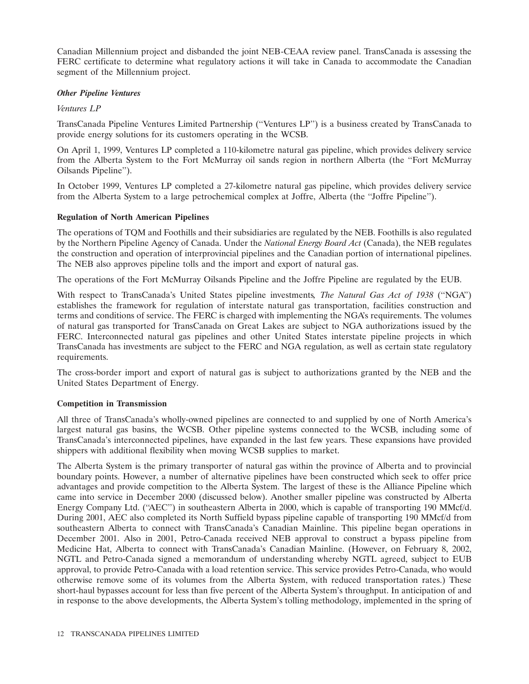Canadian Millennium project and disbanded the joint NEB-CEAA review panel. TransCanada is assessing the FERC certificate to determine what regulatory actions it will take in Canada to accommodate the Canadian segment of the Millennium project.

#### *Other Pipeline Ventures*

#### *Ventures LP*

TransCanada Pipeline Ventures Limited Partnership (''Ventures LP'') is a business created by TransCanada to provide energy solutions for its customers operating in the WCSB.

On April 1, 1999, Ventures LP completed a 110-kilometre natural gas pipeline, which provides delivery service from the Alberta System to the Fort McMurray oil sands region in northern Alberta (the ''Fort McMurray Oilsands Pipeline'').

In October 1999, Ventures LP completed a 27-kilometre natural gas pipeline, which provides delivery service from the Alberta System to a large petrochemical complex at Joffre, Alberta (the ''Joffre Pipeline'').

#### **Regulation of North American Pipelines**

The operations of TQM and Foothills and their subsidiaries are regulated by the NEB. Foothills is also regulated by the Northern Pipeline Agency of Canada. Under the *National Energy Board Act* (Canada), the NEB regulates the construction and operation of interprovincial pipelines and the Canadian portion of international pipelines. The NEB also approves pipeline tolls and the import and export of natural gas.

The operations of the Fort McMurray Oilsands Pipeline and the Joffre Pipeline are regulated by the EUB.

With respect to TransCanada's United States pipeline investments*, The Natural Gas Act of 1938* (''NGA'') establishes the framework for regulation of interstate natural gas transportation, facilities construction and terms and conditions of service. The FERC is charged with implementing the NGA's requirements. The volumes of natural gas transported for TransCanada on Great Lakes are subject to NGA authorizations issued by the FERC. Interconnected natural gas pipelines and other United States interstate pipeline projects in which TransCanada has investments are subject to the FERC and NGA regulation, as well as certain state regulatory requirements.

The cross-border import and export of natural gas is subject to authorizations granted by the NEB and the United States Department of Energy.

# **Competition in Transmission**

All three of TransCanada's wholly-owned pipelines are connected to and supplied by one of North America's largest natural gas basins, the WCSB. Other pipeline systems connected to the WCSB, including some of TransCanada's interconnected pipelines, have expanded in the last few years. These expansions have provided shippers with additional flexibility when moving WCSB supplies to market.

The Alberta System is the primary transporter of natural gas within the province of Alberta and to provincial boundary points. However, a number of alternative pipelines have been constructed which seek to offer price advantages and provide competition to the Alberta System. The largest of these is the Alliance Pipeline which came into service in December 2000 (discussed below). Another smaller pipeline was constructed by Alberta Energy Company Ltd. ("AEC") in southeastern Alberta in 2000, which is capable of transporting 190 MMcf/d. During 2001, AEC also completed its North Suffield bypass pipeline capable of transporting 190 MMcf/d from southeastern Alberta to connect with TransCanada's Canadian Mainline. This pipeline began operations in December 2001. Also in 2001, Petro-Canada received NEB approval to construct a bypass pipeline from Medicine Hat, Alberta to connect with TransCanada's Canadian Mainline. (However, on February 8, 2002, NGTL and Petro-Canada signed a memorandum of understanding whereby NGTL agreed, subject to EUB approval, to provide Petro-Canada with a load retention service. This service provides Petro-Canada, who would otherwise remove some of its volumes from the Alberta System, with reduced transportation rates.) These short-haul bypasses account for less than five percent of the Alberta System's throughput. In anticipation of and in response to the above developments, the Alberta System's tolling methodology, implemented in the spring of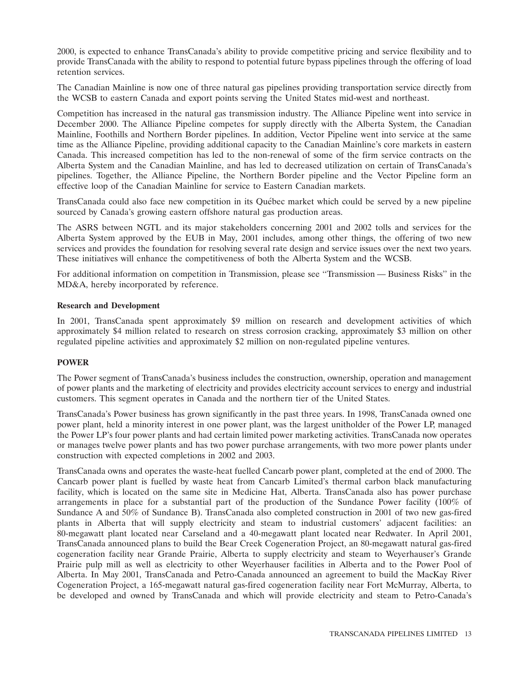2000, is expected to enhance TransCanada's ability to provide competitive pricing and service flexibility and to provide TransCanada with the ability to respond to potential future bypass pipelines through the offering of load retention services.

The Canadian Mainline is now one of three natural gas pipelines providing transportation service directly from the WCSB to eastern Canada and export points serving the United States mid-west and northeast.

Competition has increased in the natural gas transmission industry. The Alliance Pipeline went into service in December 2000. The Alliance Pipeline competes for supply directly with the Alberta System, the Canadian Mainline, Foothills and Northern Border pipelines. In addition, Vector Pipeline went into service at the same time as the Alliance Pipeline, providing additional capacity to the Canadian Mainline's core markets in eastern Canada. This increased competition has led to the non-renewal of some of the firm service contracts on the Alberta System and the Canadian Mainline, and has led to decreased utilization on certain of TransCanada's pipelines. Together, the Alliance Pipeline, the Northern Border pipeline and the Vector Pipeline form an effective loop of the Canadian Mainline for service to Eastern Canadian markets.

TransCanada could also face new competition in its Quebec market which could be served by a new pipeline ´ sourced by Canada's growing eastern offshore natural gas production areas.

The ASRS between NGTL and its major stakeholders concerning 2001 and 2002 tolls and services for the Alberta System approved by the EUB in May, 2001 includes, among other things, the offering of two new services and provides the foundation for resolving several rate design and service issues over the next two years. These initiatives will enhance the competitiveness of both the Alberta System and the WCSB.

For additional information on competition in Transmission, please see ''Transmission — Business Risks'' in the MD&A, hereby incorporated by reference.

#### **Research and Development**

In 2001, TransCanada spent approximately \$9 million on research and development activities of which approximately \$4 million related to research on stress corrosion cracking, approximately \$3 million on other regulated pipeline activities and approximately \$2 million on non-regulated pipeline ventures.

# **POWER**

The Power segment of TransCanada's business includes the construction, ownership, operation and management of power plants and the marketing of electricity and provides electricity account services to energy and industrial customers. This segment operates in Canada and the northern tier of the United States.

TransCanada's Power business has grown significantly in the past three years. In 1998, TransCanada owned one power plant, held a minority interest in one power plant, was the largest unitholder of the Power LP, managed the Power LP's four power plants and had certain limited power marketing activities. TransCanada now operates or manages twelve power plants and has two power purchase arrangements, with two more power plants under construction with expected completions in 2002 and 2003.

TransCanada owns and operates the waste-heat fuelled Cancarb power plant, completed at the end of 2000. The Cancarb power plant is fuelled by waste heat from Cancarb Limited's thermal carbon black manufacturing facility, which is located on the same site in Medicine Hat, Alberta. TransCanada also has power purchase arrangements in place for a substantial part of the production of the Sundance Power facility (100% of Sundance A and 50% of Sundance B). TransCanada also completed construction in 2001 of two new gas-fired plants in Alberta that will supply electricity and steam to industrial customers' adjacent facilities: an 80-megawatt plant located near Carseland and a 40-megawatt plant located near Redwater. In April 2001, TransCanada announced plans to build the Bear Creek Cogeneration Project, an 80-megawatt natural gas-fired cogeneration facility near Grande Prairie, Alberta to supply electricity and steam to Weyerhauser's Grande Prairie pulp mill as well as electricity to other Weyerhauser facilities in Alberta and to the Power Pool of Alberta. In May 2001, TransCanada and Petro-Canada announced an agreement to build the MacKay River Cogeneration Project, a 165-megawatt natural gas-fired cogeneration facility near Fort McMurray, Alberta, to be developed and owned by TransCanada and which will provide electricity and steam to Petro-Canada's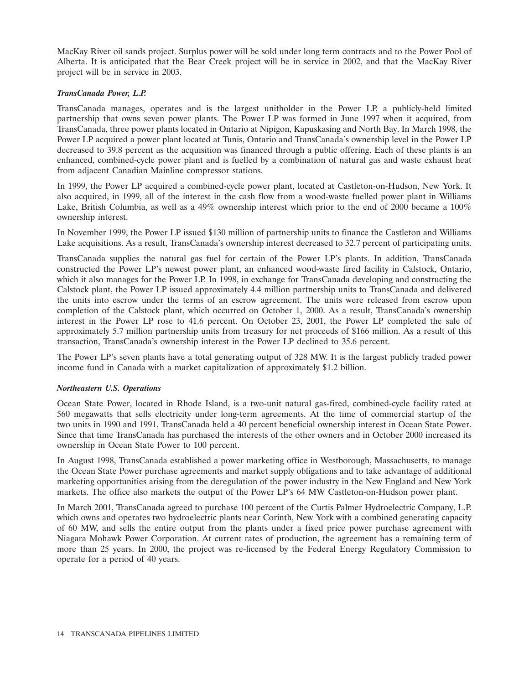MacKay River oil sands project. Surplus power will be sold under long term contracts and to the Power Pool of Alberta. It is anticipated that the Bear Creek project will be in service in 2002, and that the MacKay River project will be in service in 2003.

# *TransCanada Power, L.P.*

TransCanada manages, operates and is the largest unitholder in the Power LP, a publicly-held limited partnership that owns seven power plants. The Power LP was formed in June 1997 when it acquired, from TransCanada, three power plants located in Ontario at Nipigon, Kapuskasing and North Bay. In March 1998, the Power LP acquired a power plant located at Tunis, Ontario and TransCanada's ownership level in the Power LP decreased to 39.8 percent as the acquisition was financed through a public offering. Each of these plants is an enhanced, combined-cycle power plant and is fuelled by a combination of natural gas and waste exhaust heat from adjacent Canadian Mainline compressor stations.

In 1999, the Power LP acquired a combined-cycle power plant, located at Castleton-on-Hudson, New York. It also acquired, in 1999, all of the interest in the cash flow from a wood-waste fuelled power plant in Williams Lake, British Columbia, as well as a 49% ownership interest which prior to the end of 2000 became a 100% ownership interest.

In November 1999, the Power LP issued \$130 million of partnership units to finance the Castleton and Williams Lake acquisitions. As a result, TransCanada's ownership interest decreased to 32.7 percent of participating units.

TransCanada supplies the natural gas fuel for certain of the Power LP's plants. In addition, TransCanada constructed the Power LP's newest power plant, an enhanced wood-waste fired facility in Calstock, Ontario, which it also manages for the Power LP. In 1998, in exchange for TransCanada developing and constructing the Calstock plant, the Power LP issued approximately 4.4 million partnership units to TransCanada and delivered the units into escrow under the terms of an escrow agreement. The units were released from escrow upon completion of the Calstock plant, which occurred on October 1, 2000. As a result, TransCanada's ownership interest in the Power LP rose to 41.6 percent. On October 23, 2001, the Power LP completed the sale of approximately 5.7 million partnership units from treasury for net proceeds of \$166 million. As a result of this transaction, TransCanada's ownership interest in the Power LP declined to 35.6 percent.

The Power LP's seven plants have a total generating output of 328 MW. It is the largest publicly traded power income fund in Canada with a market capitalization of approximately \$1.2 billion.

# *Northeastern U.S. Operations*

Ocean State Power, located in Rhode Island, is a two-unit natural gas-fired, combined-cycle facility rated at 560 megawatts that sells electricity under long-term agreements. At the time of commercial startup of the two units in 1990 and 1991, TransCanada held a 40 percent beneficial ownership interest in Ocean State Power. Since that time TransCanada has purchased the interests of the other owners and in October 2000 increased its ownership in Ocean State Power to 100 percent.

In August 1998, TransCanada established a power marketing office in Westborough, Massachusetts, to manage the Ocean State Power purchase agreements and market supply obligations and to take advantage of additional marketing opportunities arising from the deregulation of the power industry in the New England and New York markets. The office also markets the output of the Power LP's 64 MW Castleton-on-Hudson power plant.

In March 2001, TransCanada agreed to purchase 100 percent of the Curtis Palmer Hydroelectric Company, L.P. which owns and operates two hydroelectric plants near Corinth, New York with a combined generating capacity of 60 MW, and sells the entire output from the plants under a fixed price power purchase agreement with Niagara Mohawk Power Corporation. At current rates of production, the agreement has a remaining term of more than 25 years. In 2000, the project was re-licensed by the Federal Energy Regulatory Commission to operate for a period of 40 years.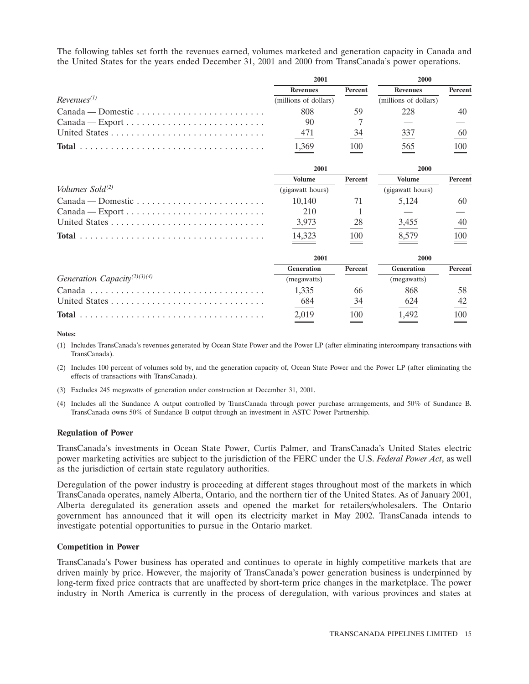The following tables set forth the revenues earned, volumes marketed and generation capacity in Canada and the United States for the years ended December 31, 2001 and 2000 from TransCanada's power operations.

|                                                                           | 2001                  |                | 2000                  |         |  |
|---------------------------------------------------------------------------|-----------------------|----------------|-----------------------|---------|--|
|                                                                           | <b>Revenues</b>       | Percent        | <b>Revenues</b>       | Percent |  |
| $Revenues^{(1)}$                                                          | (millions of dollars) |                | (millions of dollars) |         |  |
|                                                                           | 808                   | 59             | 228                   | 40      |  |
| $Canada - Export \dots \dots \dots \dots \dots \dots \dots \dots \dots$   | 90                    |                |                       |         |  |
|                                                                           | 471                   | 34             | 337                   | 60      |  |
|                                                                           | 1,369                 | 100            | 565                   | 100     |  |
|                                                                           | 2001                  |                | 2000                  |         |  |
|                                                                           | <b>Volume</b>         | Percent        | <b>Volume</b>         | Percent |  |
| Volumes Sold <sup>(2)</sup>                                               | (gigawatt hours)      |                | (gigawatt hours)      |         |  |
| $Canada - Domestic \dots \dots \dots \dots \dots \dots \dots \dots \dots$ | 10,140                | 71             | 5,124                 | 60      |  |
|                                                                           | 210                   |                |                       |         |  |
|                                                                           | 3,973                 | $\frac{28}{1}$ | 3,455                 | 40      |  |
|                                                                           | 14,323                | 100            | 8,579                 | 100     |  |
|                                                                           | 2001                  |                | 2000                  |         |  |
|                                                                           | <b>Generation</b>     | Percent        | <b>Generation</b>     | Percent |  |
| Generation Capacity <sup>(2)(3)(4)</sup>                                  | (megawatts)           |                | (megawatts)           |         |  |
|                                                                           | 1,335                 | 66             | 868                   | 58      |  |
|                                                                           | 684                   | 34             | 624                   | 42      |  |
|                                                                           | 2,019                 | 100            | 1,492                 | 100     |  |

**Notes:**

(1) Includes TransCanada's revenues generated by Ocean State Power and the Power LP (after eliminating intercompany transactions with TransCanada).

- (2) Includes 100 percent of volumes sold by, and the generation capacity of, Ocean State Power and the Power LP (after eliminating the effects of transactions with TransCanada).
- (3) Excludes 245 megawatts of generation under construction at December 31, 2001.
- (4) Includes all the Sundance A output controlled by TransCanada through power purchase arrangements, and 50% of Sundance B. TransCanada owns 50% of Sundance B output through an investment in ASTC Power Partnership.

#### **Regulation of Power**

TransCanada's investments in Ocean State Power, Curtis Palmer, and TransCanada's United States electric power marketing activities are subject to the jurisdiction of the FERC under the U.S. *Federal Power Act*, as well as the jurisdiction of certain state regulatory authorities.

Deregulation of the power industry is proceeding at different stages throughout most of the markets in which TransCanada operates, namely Alberta, Ontario, and the northern tier of the United States. As of January 2001, Alberta deregulated its generation assets and opened the market for retailers/wholesalers. The Ontario government has announced that it will open its electricity market in May 2002. TransCanada intends to investigate potential opportunities to pursue in the Ontario market.

#### **Competition in Power**

TransCanada's Power business has operated and continues to operate in highly competitive markets that are driven mainly by price. However, the majority of TransCanada's power generation business is underpinned by long-term fixed price contracts that are unaffected by short-term price changes in the marketplace. The power industry in North America is currently in the process of deregulation, with various provinces and states at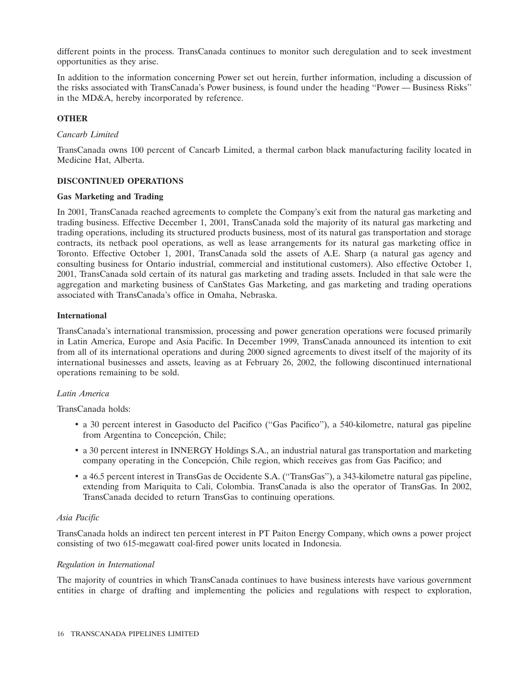different points in the process. TransCanada continues to monitor such deregulation and to seek investment opportunities as they arise.

In addition to the information concerning Power set out herein, further information, including a discussion of the risks associated with TransCanada's Power business, is found under the heading ''Power — Business Risks'' in the MD&A, hereby incorporated by reference.

# **OTHER**

#### *Cancarb Limited*

TransCanada owns 100 percent of Cancarb Limited, a thermal carbon black manufacturing facility located in Medicine Hat, Alberta.

# **DISCONTINUED OPERATIONS**

#### **Gas Marketing and Trading**

In 2001, TransCanada reached agreements to complete the Company's exit from the natural gas marketing and trading business. Effective December 1, 2001, TransCanada sold the majority of its natural gas marketing and trading operations, including its structured products business, most of its natural gas transportation and storage contracts, its netback pool operations, as well as lease arrangements for its natural gas marketing office in Toronto. Effective October 1, 2001, TransCanada sold the assets of A.E. Sharp (a natural gas agency and consulting business for Ontario industrial, commercial and institutional customers). Also effective October 1, 2001, TransCanada sold certain of its natural gas marketing and trading assets. Included in that sale were the aggregation and marketing business of CanStates Gas Marketing, and gas marketing and trading operations associated with TransCanada's office in Omaha, Nebraska.

#### **International**

TransCanada's international transmission, processing and power generation operations were focused primarily in Latin America, Europe and Asia Pacific. In December 1999, TransCanada announced its intention to exit from all of its international operations and during 2000 signed agreements to divest itself of the majority of its international businesses and assets, leaving as at February 26, 2002, the following discontinued international operations remaining to be sold.

#### *Latin America*

TransCanada holds:

- a 30 percent interest in Gasoducto del Pacifico (''Gas Pacifico''), a 540-kilometre, natural gas pipeline from Argentina to Concepción, Chile;
- a 30 percent interest in INNERGY Holdings S.A., an industrial natural gas transportation and marketing company operating in the Concepcion, Chile region, which receives gas from Gas Pacifico; and ´
- a 46.5 percent interest in TransGas de Occidente S.A. (''TransGas''), a 343-kilometre natural gas pipeline, extending from Mariquita to Cali, Colombia. TransCanada is also the operator of TransGas. In 2002, TransCanada decided to return TransGas to continuing operations.

# *Asia Pacific*

TransCanada holds an indirect ten percent interest in PT Paiton Energy Company, which owns a power project consisting of two 615-megawatt coal-fired power units located in Indonesia.

#### *Regulation in International*

The majority of countries in which TransCanada continues to have business interests have various government entities in charge of drafting and implementing the policies and regulations with respect to exploration,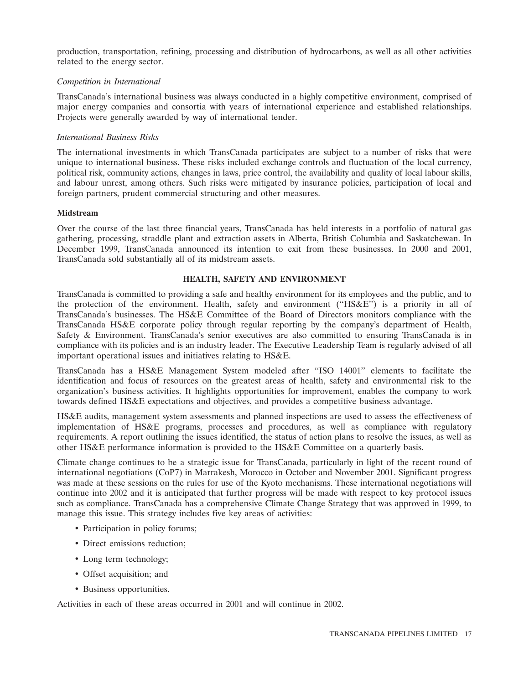production, transportation, refining, processing and distribution of hydrocarbons, as well as all other activities related to the energy sector.

#### *Competition in International*

TransCanada's international business was always conducted in a highly competitive environment, comprised of major energy companies and consortia with years of international experience and established relationships. Projects were generally awarded by way of international tender.

#### *International Business Risks*

The international investments in which TransCanada participates are subject to a number of risks that were unique to international business. These risks included exchange controls and fluctuation of the local currency, political risk, community actions, changes in laws, price control, the availability and quality of local labour skills, and labour unrest, among others. Such risks were mitigated by insurance policies, participation of local and foreign partners, prudent commercial structuring and other measures.

#### **Midstream**

Over the course of the last three financial years, TransCanada has held interests in a portfolio of natural gas gathering, processing, straddle plant and extraction assets in Alberta, British Columbia and Saskatchewan. In December 1999, TransCanada announced its intention to exit from these businesses. In 2000 and 2001, TransCanada sold substantially all of its midstream assets.

#### **HEALTH, SAFETY AND ENVIRONMENT**

TransCanada is committed to providing a safe and healthy environment for its employees and the public, and to the protection of the environment. Health, safety and environment (''HS&E'') is a priority in all of TransCanada's businesses. The HS&E Committee of the Board of Directors monitors compliance with the TransCanada HS&E corporate policy through regular reporting by the company's department of Health, Safety & Environment. TransCanada's senior executives are also committed to ensuring TransCanada is in compliance with its policies and is an industry leader. The Executive Leadership Team is regularly advised of all important operational issues and initiatives relating to HS&E.

TransCanada has a HS&E Management System modeled after ''ISO 14001'' elements to facilitate the identification and focus of resources on the greatest areas of health, safety and environmental risk to the organization's business activities. It highlights opportunities for improvement, enables the company to work towards defined HS&E expectations and objectives, and provides a competitive business advantage.

HS&E audits, management system assessments and planned inspections are used to assess the effectiveness of implementation of HS&E programs, processes and procedures, as well as compliance with regulatory requirements. A report outlining the issues identified, the status of action plans to resolve the issues, as well as other HS&E performance information is provided to the HS&E Committee on a quarterly basis.

Climate change continues to be a strategic issue for TransCanada, particularly in light of the recent round of international negotiations (CoP7) in Marrakesh, Morocco in October and November 2001. Significant progress was made at these sessions on the rules for use of the Kyoto mechanisms. These international negotiations will continue into 2002 and it is anticipated that further progress will be made with respect to key protocol issues such as compliance. TransCanada has a comprehensive Climate Change Strategy that was approved in 1999, to manage this issue. This strategy includes five key areas of activities:

- Participation in policy forums;
- Direct emissions reduction;
- Long term technology;
- Offset acquisition; and
- Business opportunities.

Activities in each of these areas occurred in 2001 and will continue in 2002.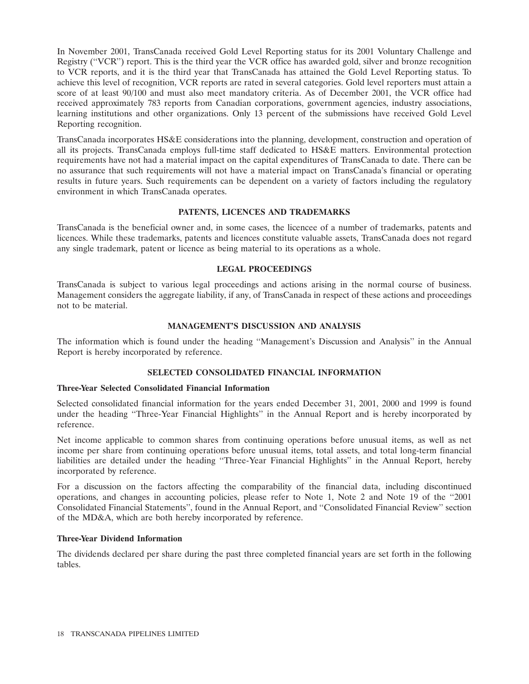In November 2001, TransCanada received Gold Level Reporting status for its 2001 Voluntary Challenge and Registry (''VCR'') report. This is the third year the VCR office has awarded gold, silver and bronze recognition to VCR reports, and it is the third year that TransCanada has attained the Gold Level Reporting status. To achieve this level of recognition, VCR reports are rated in several categories. Gold level reporters must attain a score of at least 90/100 and must also meet mandatory criteria. As of December 2001, the VCR office had received approximately 783 reports from Canadian corporations, government agencies, industry associations, learning institutions and other organizations. Only 13 percent of the submissions have received Gold Level Reporting recognition.

TransCanada incorporates HS&E considerations into the planning, development, construction and operation of all its projects. TransCanada employs full-time staff dedicated to HS&E matters. Environmental protection requirements have not had a material impact on the capital expenditures of TransCanada to date. There can be no assurance that such requirements will not have a material impact on TransCanada's financial or operating results in future years. Such requirements can be dependent on a variety of factors including the regulatory environment in which TransCanada operates.

#### **PATENTS, LICENCES AND TRADEMARKS**

TransCanada is the beneficial owner and, in some cases, the licencee of a number of trademarks, patents and licences. While these trademarks, patents and licences constitute valuable assets, TransCanada does not regard any single trademark, patent or licence as being material to its operations as a whole.

#### **LEGAL PROCEEDINGS**

TransCanada is subject to various legal proceedings and actions arising in the normal course of business. Management considers the aggregate liability, if any, of TransCanada in respect of these actions and proceedings not to be material.

#### **MANAGEMENT'S DISCUSSION AND ANALYSIS**

The information which is found under the heading ''Management's Discussion and Analysis'' in the Annual Report is hereby incorporated by reference.

# **SELECTED CONSOLIDATED FINANCIAL INFORMATION**

#### **Three-Year Selected Consolidated Financial Information**

Selected consolidated financial information for the years ended December 31, 2001, 2000 and 1999 is found under the heading ''Three-Year Financial Highlights'' in the Annual Report and is hereby incorporated by reference.

Net income applicable to common shares from continuing operations before unusual items, as well as net income per share from continuing operations before unusual items, total assets, and total long-term financial liabilities are detailed under the heading ''Three-Year Financial Highlights'' in the Annual Report, hereby incorporated by reference.

For a discussion on the factors affecting the comparability of the financial data, including discontinued operations, and changes in accounting policies, please refer to Note 1, Note 2 and Note 19 of the ''2001 Consolidated Financial Statements'', found in the Annual Report, and ''Consolidated Financial Review'' section of the MD&A, which are both hereby incorporated by reference.

# **Three-Year Dividend Information**

The dividends declared per share during the past three completed financial years are set forth in the following tables.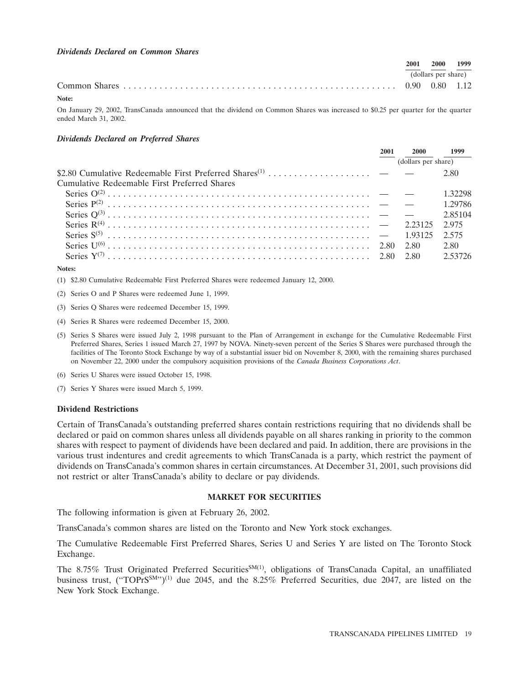#### *Dividends Declared on Common Shares*

|       | 2001 | - 2000              | 1999 |
|-------|------|---------------------|------|
|       |      | (dollars per share) |      |
|       |      |                     |      |
| Note: |      |                     |      |

On January 29, 2002, TransCanada announced that the dividend on Common Shares was increased to \$0.25 per quarter for the quarter ended March 31, 2002.

#### *Dividends Declared on Preferred Shares*

|                                              | 2001                | <b>2000</b> | 1999    |
|----------------------------------------------|---------------------|-------------|---------|
|                                              | (dollars per share) |             |         |
|                                              |                     |             | 2.80    |
| Cumulative Redeemable First Preferred Shares |                     |             |         |
|                                              |                     |             | 1 32298 |
|                                              |                     |             | 1 29786 |
|                                              |                     |             | 2.85104 |
|                                              |                     |             | 2.975   |
|                                              |                     |             | 2.575   |
|                                              |                     |             | 2.80    |
|                                              |                     |             |         |
|                                              |                     |             |         |

#### **Notes:**

(1) \$2.80 Cumulative Redeemable First Preferred Shares were redeemed January 12, 2000.

- (2) Series O and P Shares were redeemed June 1, 1999.
- (3) Series Q Shares were redeemed December 15, 1999.
- (4) Series R Shares were redeemed December 15, 2000.
- (5) Series S Shares were issued July 2, 1998 pursuant to the Plan of Arrangement in exchange for the Cumulative Redeemable First Preferred Shares, Series 1 issued March 27, 1997 by NOVA. Ninety-seven percent of the Series S Shares were purchased through the facilities of The Toronto Stock Exchange by way of a substantial issuer bid on November 8, 2000, with the remaining shares purchased on November 22, 2000 under the compulsory acquisition provisions of the *Canada Business Corporations Act*.
- (6) Series U Shares were issued October 15, 1998.
- (7) Series Y Shares were issued March 5, 1999.

#### **Dividend Restrictions**

Certain of TransCanada's outstanding preferred shares contain restrictions requiring that no dividends shall be declared or paid on common shares unless all dividends payable on all shares ranking in priority to the common shares with respect to payment of dividends have been declared and paid. In addition, there are provisions in the various trust indentures and credit agreements to which TransCanada is a party, which restrict the payment of dividends on TransCanada's common shares in certain circumstances. At December 31, 2001, such provisions did not restrict or alter TransCanada's ability to declare or pay dividends.

#### **MARKET FOR SECURITIES**

The following information is given at February 26, 2002.

TransCanada's common shares are listed on the Toronto and New York stock exchanges.

The Cumulative Redeemable First Preferred Shares, Series U and Series Y are listed on The Toronto Stock Exchange.

The 8.75% Trust Originated Preferred Securities<sup>SM(1)</sup>, obligations of TransCanada Capital, an unaffiliated business trust, ("TOPrS<sup>SM</sup>")<sup>(1)</sup> due 2045, and the 8.25% Preferred Securities, due 2047, are listed on the New York Stock Exchange.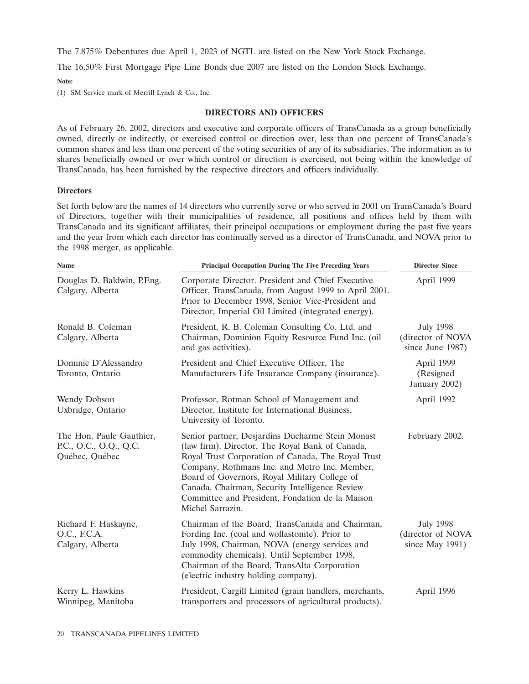The 7.875% Debentures due April 1, 2023 of NGTL are listed on the New York Stock Exchange.

The 16.50% First Mortgage Pipe Line Bonds due 2007 are listed on the London Stock Exchange.

**Note:**

(1) SM Service mark of Merrill Lynch & Co., Inc.

#### **DIRECTORS AND OFFICERS**

As of February 26, 2002, directors and executive and corporate officers of TransCanada as a group beneficially owned, directly or indirectly, or exercised control or direction over, less than one percent of TransCanada's common shares and less than one percent of the voting securities of any of its subsidiaries. The information as to shares beneficially owned or over which control or direction is exercised, not being within the knowledge of TransCanada, has been furnished by the respective directors and officers individually.

#### **Directors**

Set forth below are the names of 14 directors who currently serve or who served in 2001 on TransCanada's Board of Directors, together with their municipalities of residence, all positions and offices held by them with TransCanada and its significant affiliates, their principal occupations or employment during the past five years and the year from which each director has continually served as a director of TransCanada, and NOVA prior to the 1998 merger, as applicable.

| Name                                                                 | <b>Principal Occupation During The Five Preceding Years</b>                                                                                                                                                                                                                                                                                                                          | <b>Director Since</b>                                     |
|----------------------------------------------------------------------|--------------------------------------------------------------------------------------------------------------------------------------------------------------------------------------------------------------------------------------------------------------------------------------------------------------------------------------------------------------------------------------|-----------------------------------------------------------|
| Douglas D. Baldwin, P.Eng.<br>Calgary, Alberta                       | Corporate Director. President and Chief Executive<br>Officer, TransCanada, from August 1999 to April 2001.<br>Prior to December 1998, Senior Vice-President and<br>Director, Imperial Oil Limited (integrated energy).                                                                                                                                                               | April 1999                                                |
| Ronald B. Coleman<br>Calgary, Alberta                                | President, R. B. Coleman Consulting Co. Ltd. and<br>Chairman, Dominion Equity Resource Fund Inc. (oil<br>and gas activities).                                                                                                                                                                                                                                                        | <b>July 1998</b><br>(director of NOVA<br>since June 1987) |
| Dominic D'Alessandro<br>Toronto, Ontario                             | President and Chief Executive Officer, The<br>Manufacturers Life Insurance Company (insurance).                                                                                                                                                                                                                                                                                      | April 1999<br>(Resigned<br>January 2002)                  |
| Wendy Dobson<br>Uxbridge, Ontario                                    | Professor, Rotman School of Management and<br>Director, Institute for International Business,<br>University of Toronto.                                                                                                                                                                                                                                                              | April 1992                                                |
| The Hon. Paule Gauthier,<br>P.C., O.C., O.Q., Q.C.<br>Québec, Québec | Senior partner, Desjardins Ducharme Stein Monast<br>(law firm). Director, The Royal Bank of Canada,<br>Royal Trust Corporation of Canada, The Royal Trust<br>Company, Rothmans Inc. and Metro Inc. Member,<br>Board of Governors, Royal Military College of<br>Canada. Chairman, Security Intelligence Review<br>Committee and President, Fondation de la Maison<br>Michel Sarrazin. | February 2002.                                            |
| Richard F. Haskayne,<br>O.C., F.C.A.<br>Calgary, Alberta             | Chairman of the Board, TransCanada and Chairman,<br>Fording Inc. (coal and wollastonite). Prior to<br>July 1998, Chairman, NOVA (energy services and<br>commodity chemicals). Until September 1998,<br>Chairman of the Board, TransAlta Corporation<br>(electric industry holding company).                                                                                          | <b>July 1998</b><br>(director of NOVA<br>since May 1991)  |
| Kerry L. Hawkins<br>Winnipeg, Manitoba                               | President, Cargill Limited (grain handlers, merchants,<br>transporters and processors of agricultural products).                                                                                                                                                                                                                                                                     | April 1996                                                |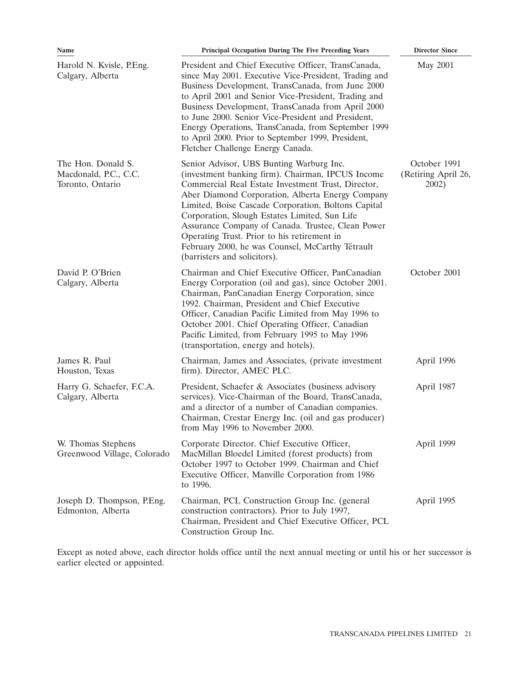| Name                                                            | <b>Principal Occupation During The Five Preceding Years</b>                                                                                                                                                                                                                                                                                                                                                                                                                                             | <b>Director Since</b>                        |
|-----------------------------------------------------------------|---------------------------------------------------------------------------------------------------------------------------------------------------------------------------------------------------------------------------------------------------------------------------------------------------------------------------------------------------------------------------------------------------------------------------------------------------------------------------------------------------------|----------------------------------------------|
| Harold N. Kvisle, P.Eng.<br>Calgary, Alberta                    | President and Chief Executive Officer, TransCanada,<br>since May 2001. Executive Vice-President, Trading and<br>Business Development, TransCanada, from June 2000<br>to April 2001 and Senior Vice-President, Trading and<br>Business Development, TransCanada from April 2000<br>to June 2000. Senior Vice-President and President,<br>Energy Operations, TransCanada, from September 1999<br>to April 2000. Prior to September 1999, President,<br>Fletcher Challenge Energy Canada.                  | May 2001                                     |
| The Hon. Donald S.<br>Macdonald, P.C., C.C.<br>Toronto, Ontario | Senior Advisor, UBS Bunting Warburg Inc.<br>(investment banking firm). Chairman, IPCUS Income<br>Commercial Real Estate Investment Trust, Director,<br>Aber Diamond Corporation, Alberta Energy Company<br>Limited, Boise Cascade Corporation, Boltons Capital<br>Corporation, Slough Estates Limited, Sun Life<br>Assurance Company of Canada. Trustee, Clean Power<br>Operating Trust. Prior to his retirement in<br>February 2000, he was Counsel, McCarthy Tétrault<br>(barristers and solicitors). | October 1991<br>(Retiring April 26,<br>2002) |
| David P. O'Brien<br>Calgary, Alberta                            | Chairman and Chief Executive Officer, PanCanadian<br>Energy Corporation (oil and gas), since October 2001.<br>Chairman, PanCanadian Energy Corporation, since<br>1992. Chairman, President and Chief Executive<br>Officer, Canadian Pacific Limited from May 1996 to<br>October 2001. Chief Operating Officer, Canadian<br>Pacific Limited, from February 1995 to May 1996<br>(transportation, energy and hotels).                                                                                      | October 2001                                 |
| James R. Paul<br>Houston, Texas                                 | Chairman, James and Associates, (private investment<br>firm). Director, AMEC PLC.                                                                                                                                                                                                                                                                                                                                                                                                                       | April 1996                                   |
| Harry G. Schaefer, F.C.A.<br>Calgary, Alberta                   | President, Schaefer & Associates (business advisory<br>services). Vice-Chairman of the Board, TransCanada,<br>and a director of a number of Canadian companies.<br>Chairman, Crestar Energy Inc. (oil and gas producer)<br>from May 1996 to November 2000.                                                                                                                                                                                                                                              | April 1987                                   |
| W. Thomas Stephens<br>Greenwood Village, Colorado               | Corporate Director. Chief Executive Officer,<br>MacMillan Bloedel Limited (forest products) from<br>October 1997 to October 1999. Chairman and Chief<br>Executive Officer, Manville Corporation from 1986<br>to 1996.                                                                                                                                                                                                                                                                                   | April 1999                                   |
| Joseph D. Thompson, P.Eng.<br>Edmonton, Alberta                 | Chairman, PCL Construction Group Inc. (general<br>construction contractors). Prior to July 1997,<br>Chairman, President and Chief Executive Officer, PCL<br>Construction Group Inc.                                                                                                                                                                                                                                                                                                                     | April 1995                                   |

Except as noted above, each director holds office until the next annual meeting or until his or her successor is earlier elected or appointed.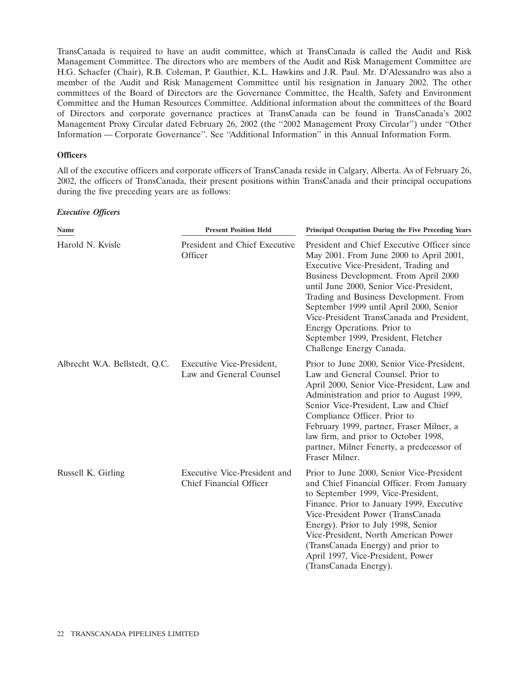TransCanada is required to have an audit committee, which at TransCanada is called the Audit and Risk Management Committee. The directors who are members of the Audit and Risk Management Committee are H.G. Schaefer (Chair), R.B. Coleman, P. Gauthier, K.L. Hawkins and J.R. Paul. Mr. D'Alessandro was also a member of the Audit and Risk Management Committee until his resignation in January 2002. The other committees of the Board of Directors are the Governance Committee, the Health, Safety and Environment Committee and the Human Resources Committee. Additional information about the committees of the Board of Directors and corporate governance practices at TransCanada can be found in TransCanada's 2002 Management Proxy Circular dated February 26, 2002 (the ''2002 Management Proxy Circular'') under ''Other Information — Corporate Governance''. See ''Additional Information'' in this Annual Information Form.

#### **Officers**

All of the executive officers and corporate officers of TransCanada reside in Calgary, Alberta. As of February 26, 2002, the officers of TransCanada, their present positions within TransCanada and their principal occupations during the five preceding years are as follows:

#### *Executive Officers*

| Name                          | <b>Present Position Held</b>                            | Principal Occupation During the Five Preceding Years                                                                                                                                                                                                                                                                                                                                                                                                    |
|-------------------------------|---------------------------------------------------------|---------------------------------------------------------------------------------------------------------------------------------------------------------------------------------------------------------------------------------------------------------------------------------------------------------------------------------------------------------------------------------------------------------------------------------------------------------|
| Harold N. Kvisle              | President and Chief Executive<br>Officer                | President and Chief Executive Officer since<br>May 2001. From June 2000 to April 2001,<br>Executive Vice-President, Trading and<br>Business Development. From April 2000<br>until June 2000, Senior Vice-President,<br>Trading and Business Development. From<br>September 1999 until April 2000, Senior<br>Vice-President TransCanada and President,<br>Energy Operations. Prior to<br>September 1999, President, Fletcher<br>Challenge Energy Canada. |
| Albrecht W.A. Bellstedt, Q.C. | Executive Vice-President,<br>Law and General Counsel    | Prior to June 2000, Senior Vice-President,<br>Law and General Counsel. Prior to<br>April 2000, Senior Vice-President, Law and<br>Administration and prior to August 1999,<br>Senior Vice-President, Law and Chief<br>Compliance Officer. Prior to<br>February 1999, partner, Fraser Milner, a<br>law firm, and prior to October 1998,<br>partner, Milner Fenerty, a predecessor of<br>Fraser Milner.                                                    |
| Russell K. Girling            | Executive Vice-President and<br>Chief Financial Officer | Prior to June 2000, Senior Vice-President<br>and Chief Financial Officer. From January<br>to September 1999, Vice-President,<br>Finance. Prior to January 1999, Executive<br>Vice-President Power (TransCanada<br>Energy). Prior to July 1998, Senior<br>Vice-President, North American Power<br>(TransCanada Energy) and prior to<br>April 1997, Vice-President, Power<br>(TransCanada Energy).                                                        |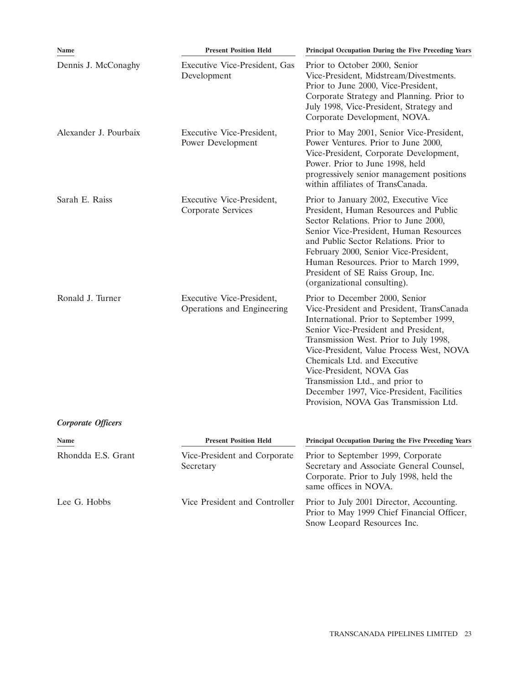| Name                  | <b>Present Position Held</b>                            | Principal Occupation During the Five Preceding Years                                                                                                                                                                                                                                                                                                                                                                                      |
|-----------------------|---------------------------------------------------------|-------------------------------------------------------------------------------------------------------------------------------------------------------------------------------------------------------------------------------------------------------------------------------------------------------------------------------------------------------------------------------------------------------------------------------------------|
| Dennis J. McConaghy   | Executive Vice-President, Gas<br>Development            | Prior to October 2000, Senior<br>Vice-President, Midstream/Divestments.<br>Prior to June 2000, Vice-President,<br>Corporate Strategy and Planning. Prior to<br>July 1998, Vice-President, Strategy and<br>Corporate Development, NOVA.                                                                                                                                                                                                    |
| Alexander J. Pourbaix | Executive Vice-President,<br>Power Development          | Prior to May 2001, Senior Vice-President,<br>Power Ventures. Prior to June 2000,<br>Vice-President, Corporate Development,<br>Power. Prior to June 1998, held<br>progressively senior management positions<br>within affiliates of TransCanada.                                                                                                                                                                                           |
| Sarah E. Raiss        | Executive Vice-President,<br>Corporate Services         | Prior to January 2002, Executive Vice<br>President, Human Resources and Public<br>Sector Relations. Prior to June 2000,<br>Senior Vice-President, Human Resources<br>and Public Sector Relations. Prior to<br>February 2000, Senior Vice-President,<br>Human Resources. Prior to March 1999,<br>President of SE Raiss Group, Inc.<br>(organizational consulting).                                                                         |
| Ronald J. Turner      | Executive Vice-President,<br>Operations and Engineering | Prior to December 2000, Senior<br>Vice-President and President, TransCanada<br>International. Prior to September 1999,<br>Senior Vice-President and President,<br>Transmission West. Prior to July 1998,<br>Vice-President, Value Process West, NOVA<br>Chemicals Ltd. and Executive<br>Vice-President, NOVA Gas<br>Transmission Ltd., and prior to<br>December 1997, Vice-President, Facilities<br>Provision, NOVA Gas Transmission Ltd. |
| Corporate Officers    |                                                         |                                                                                                                                                                                                                                                                                                                                                                                                                                           |
| Name                  | <b>Present Position Held</b>                            | Principal Occupation During the Five Preceding Years                                                                                                                                                                                                                                                                                                                                                                                      |
| Rhondda E.S. Grant    | Vice-President and Corporate<br>Secretary               | Prior to September 1999, Corporate<br>Secretary and Associate General Counsel,<br>Corporate. Prior to July 1998, held the<br>same offices in NOVA.                                                                                                                                                                                                                                                                                        |
| Lee G. Hobbs          | Vice President and Controller                           | Prior to July 2001 Director, Accounting.<br>Prior to May 1999 Chief Financial Officer,<br>Snow Leopard Resources Inc.                                                                                                                                                                                                                                                                                                                     |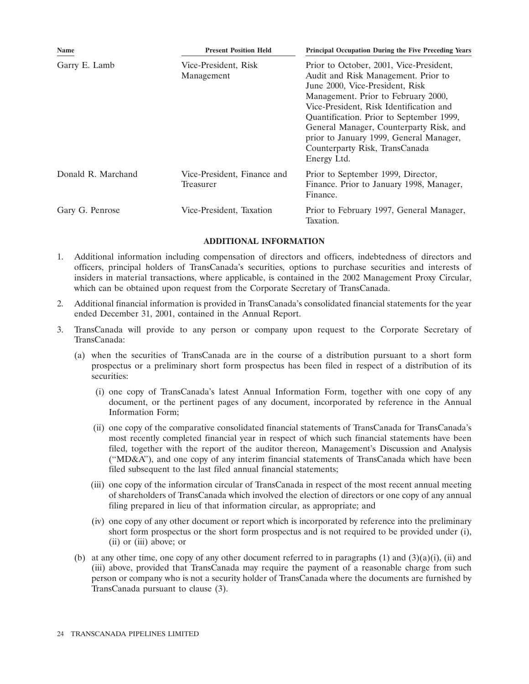| Name               | <b>Present Position Held</b>             | <b>Principal Occupation During the Five Preceding Years</b>                                                                                                                                                                                                                                                                                                                            |  |
|--------------------|------------------------------------------|----------------------------------------------------------------------------------------------------------------------------------------------------------------------------------------------------------------------------------------------------------------------------------------------------------------------------------------------------------------------------------------|--|
| Garry E. Lamb      | Vice-President, Risk<br>Management       | Prior to October, 2001, Vice-President,<br>Audit and Risk Management. Prior to<br>June 2000, Vice-President, Risk<br>Management. Prior to February 2000,<br>Vice-President, Risk Identification and<br>Quantification. Prior to September 1999,<br>General Manager, Counterparty Risk, and<br>prior to January 1999, General Manager,<br>Counterparty Risk, TransCanada<br>Energy Ltd. |  |
| Donald R. Marchand | Vice-President, Finance and<br>Treasurer | Prior to September 1999, Director,<br>Finance. Prior to January 1998, Manager,<br>Finance.                                                                                                                                                                                                                                                                                             |  |
| Gary G. Penrose    | Vice-President, Taxation                 | Prior to February 1997, General Manager,<br>Taxation.                                                                                                                                                                                                                                                                                                                                  |  |

# **ADDITIONAL INFORMATION**

- 1. Additional information including compensation of directors and officers, indebtedness of directors and officers, principal holders of TransCanada's securities, options to purchase securities and interests of insiders in material transactions, where applicable, is contained in the 2002 Management Proxy Circular, which can be obtained upon request from the Corporate Secretary of TransCanada.
- 2. Additional financial information is provided in TransCanada's consolidated financial statements for the year ended December 31, 2001, contained in the Annual Report.
- 3. TransCanada will provide to any person or company upon request to the Corporate Secretary of TransCanada:
	- (a) when the securities of TransCanada are in the course of a distribution pursuant to a short form prospectus or a preliminary short form prospectus has been filed in respect of a distribution of its securities:
		- (i) one copy of TransCanada's latest Annual Information Form, together with one copy of any document, or the pertinent pages of any document, incorporated by reference in the Annual Information Form;
		- (ii) one copy of the comparative consolidated financial statements of TransCanada for TransCanada's most recently completed financial year in respect of which such financial statements have been filed, together with the report of the auditor thereon, Management's Discussion and Analysis (''MD&A''), and one copy of any interim financial statements of TransCanada which have been filed subsequent to the last filed annual financial statements;
		- (iii) one copy of the information circular of TransCanada in respect of the most recent annual meeting of shareholders of TransCanada which involved the election of directors or one copy of any annual filing prepared in lieu of that information circular, as appropriate; and
		- (iv) one copy of any other document or report which is incorporated by reference into the preliminary short form prospectus or the short form prospectus and is not required to be provided under (i), (ii) or (iii) above; or
	- (b) at any other time, one copy of any other document referred to in paragraphs  $(1)$  and  $(3)(a)(i)$ , (ii) and (iii) above, provided that TransCanada may require the payment of a reasonable charge from such person or company who is not a security holder of TransCanada where the documents are furnished by TransCanada pursuant to clause (3).